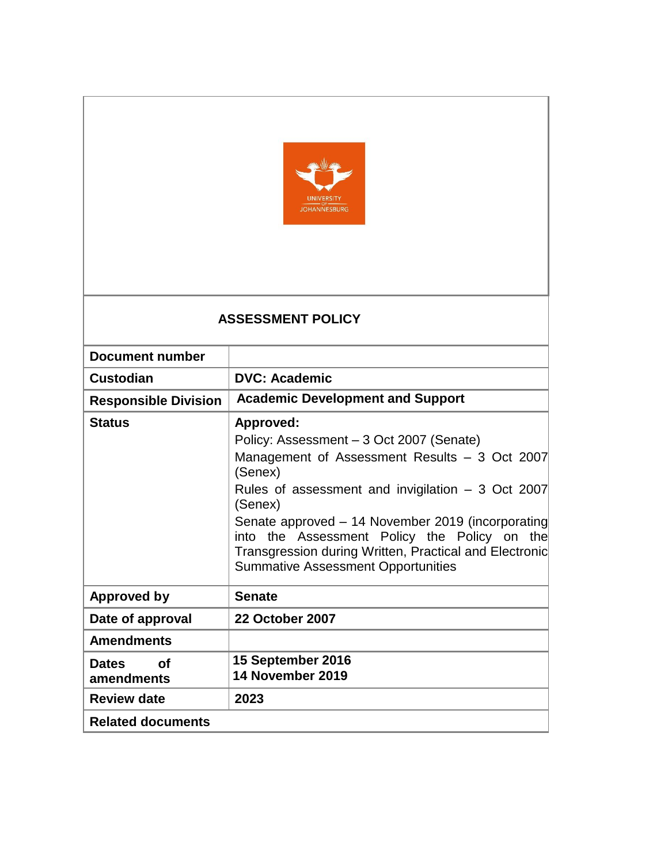

# **ASSESSMENT POLICY**

| Document number                  |                                                                                                                                                                                                          |
|----------------------------------|----------------------------------------------------------------------------------------------------------------------------------------------------------------------------------------------------------|
| Custodian                        | <b>DVC: Academic</b>                                                                                                                                                                                     |
| <b>Responsible Division</b>      | <b>Academic Development and Support</b>                                                                                                                                                                  |
| <b>Status</b>                    | Approved:                                                                                                                                                                                                |
|                                  | Policy: Assessment - 3 Oct 2007 (Senate)                                                                                                                                                                 |
|                                  | Management of Assessment Results - 3 Oct 2007<br>(Senex)                                                                                                                                                 |
|                                  | Rules of assessment and invigilation $-3$ Oct 2007<br>(Senex)                                                                                                                                            |
|                                  | Senate approved - 14 November 2019 (incorporating<br>into the Assessment Policy the Policy on the<br>Transgression during Written, Practical and Electronic<br><b>Summative Assessment Opportunities</b> |
| Approved by                      | <b>Senate</b>                                                                                                                                                                                            |
| Date of approval                 | <b>22 October 2007</b>                                                                                                                                                                                   |
| <b>Amendments</b>                |                                                                                                                                                                                                          |
| <b>Dates</b><br>Ωf<br>amendments | 15 September 2016<br>14 November 2019                                                                                                                                                                    |
| <b>Review date</b>               | 2023                                                                                                                                                                                                     |
| <b>Related documents</b>         |                                                                                                                                                                                                          |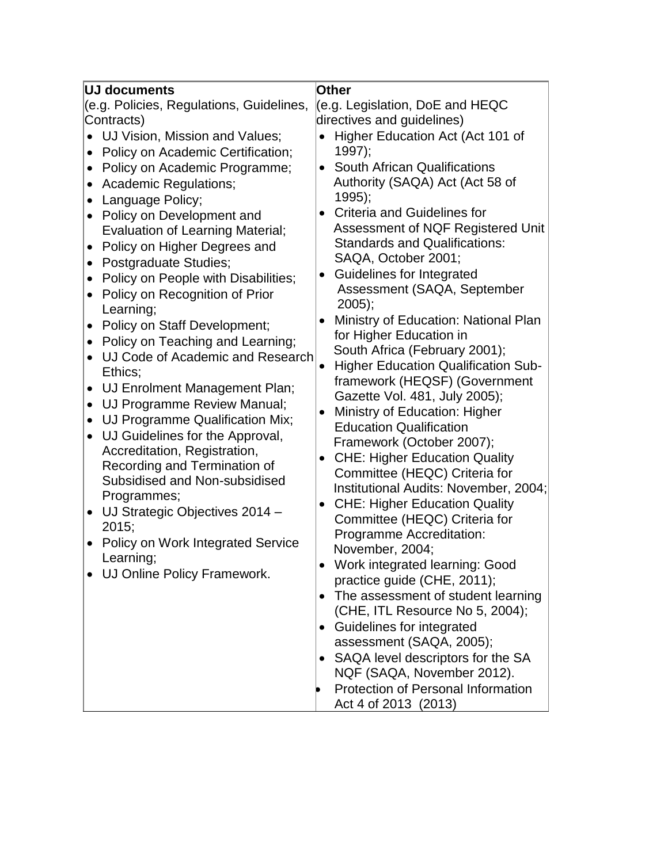| <b>UJ documents</b>                                                                                                                                                                                                                                                                                                                                                                                                                                                                                                                                                                                                                                                                                                                                                                                                                                                                                                                                                                                                                                                                                                         | Other                                                                                                                                                                                                                                                                                                                                                                                                                                                                                                                                                                                                                                                                                                                                                                                                                                                                                                                                                                                                                                                                                                                                                                                                                                                                                                                                                             |
|-----------------------------------------------------------------------------------------------------------------------------------------------------------------------------------------------------------------------------------------------------------------------------------------------------------------------------------------------------------------------------------------------------------------------------------------------------------------------------------------------------------------------------------------------------------------------------------------------------------------------------------------------------------------------------------------------------------------------------------------------------------------------------------------------------------------------------------------------------------------------------------------------------------------------------------------------------------------------------------------------------------------------------------------------------------------------------------------------------------------------------|-------------------------------------------------------------------------------------------------------------------------------------------------------------------------------------------------------------------------------------------------------------------------------------------------------------------------------------------------------------------------------------------------------------------------------------------------------------------------------------------------------------------------------------------------------------------------------------------------------------------------------------------------------------------------------------------------------------------------------------------------------------------------------------------------------------------------------------------------------------------------------------------------------------------------------------------------------------------------------------------------------------------------------------------------------------------------------------------------------------------------------------------------------------------------------------------------------------------------------------------------------------------------------------------------------------------------------------------------------------------|
| (e.g. Policies, Regulations, Guidelines,<br>Contracts)<br>• UJ Vision, Mission and Values;<br>Policy on Academic Certification;<br>Policy on Academic Programme;<br>$\bullet$<br><b>Academic Regulations;</b><br>$\bullet$<br>Language Policy;<br>$\bullet$<br>Policy on Development and<br>$\bullet$<br><b>Evaluation of Learning Material;</b><br>Policy on Higher Degrees and<br>$\bullet$<br>Postgraduate Studies;<br>$\bullet$<br>Policy on People with Disabilities;<br>$\bullet$<br>Policy on Recognition of Prior<br>$\bullet$<br>Learning;<br>Policy on Staff Development;<br>$\bullet$<br>Policy on Teaching and Learning;<br>UJ Code of Academic and Research<br>$\bullet$<br>Ethics;<br>UJ Enrolment Management Plan;<br>$\bullet$<br>UJ Programme Review Manual;<br>UJ Programme Qualification Mix;<br>UJ Guidelines for the Approval,<br>$\bullet$<br>Accreditation, Registration,<br>Recording and Termination of<br>Subsidised and Non-subsidised<br>Programmes;<br>UJ Strategic Objectives 2014 -<br>$\bullet$<br>2015;<br>Policy on Work Integrated Service<br>Learning;<br>• UJ Online Policy Framework. | (e.g. Legislation, DoE and HEQC<br>directives and guidelines)<br>Higher Education Act (Act 101 of<br>$1997$ ;<br><b>South African Qualifications</b><br>$\bullet$<br>Authority (SAQA) Act (Act 58 of<br>$1995$ ;<br><b>Criteria and Guidelines for</b><br>$\bullet$<br>Assessment of NQF Registered Unit<br><b>Standards and Qualifications:</b><br>SAQA, October 2001;<br>Guidelines for Integrated<br>Assessment (SAQA, September<br>$2005$ ;<br>Ministry of Education: National Plan<br>for Higher Education in<br>South Africa (February 2001);<br><b>Higher Education Qualification Sub-</b><br>framework (HEQSF) (Government<br>Gazette Vol. 481, July 2005);<br>Ministry of Education: Higher<br><b>Education Qualification</b><br>Framework (October 2007);<br><b>CHE: Higher Education Quality</b><br>$\bullet$<br>Committee (HEQC) Criteria for<br>Institutional Audits: November, 2004;<br><b>CHE: Higher Education Quality</b><br>$\bullet$<br>Committee (HEQC) Criteria for<br>Programme Accreditation:<br>November, 2004;<br>Work integrated learning: Good<br>practice guide (CHE, 2011);<br>The assessment of student learning<br>(CHE, ITL Resource No 5, 2004);<br><b>Guidelines for integrated</b><br>assessment (SAQA, 2005);<br>SAQA level descriptors for the SA<br>NQF (SAQA, November 2012).<br><b>Protection of Personal Information</b> |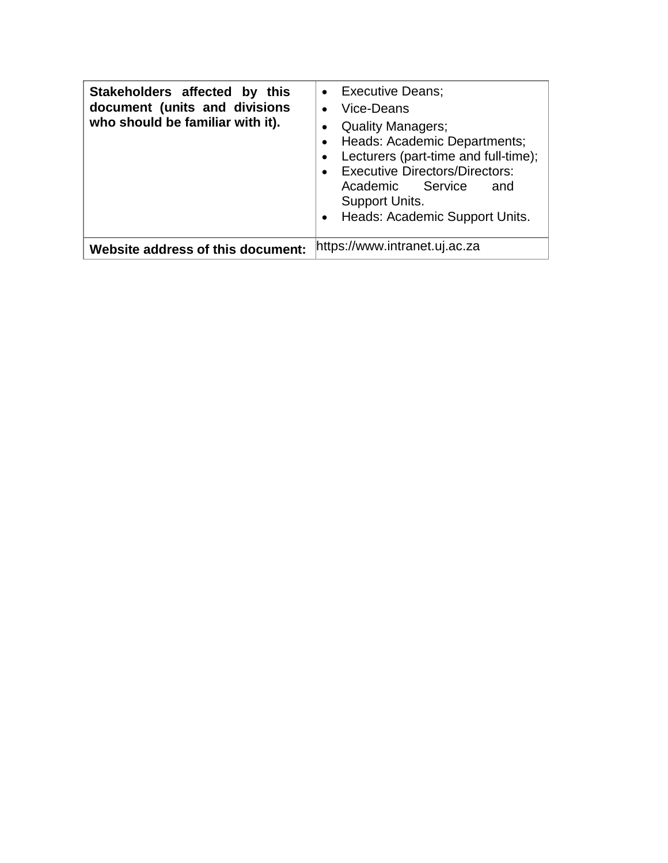| Stakeholders affected by this<br>document (units and divisions<br>who should be familiar with it). | • Executive Deans;<br>• Vice-Deans<br><b>Quality Managers;</b><br>Heads: Academic Departments;<br>Lecturers (part-time and full-time);<br>• Executive Directors/Directors:<br>Academic Service<br>and<br>Support Units.<br>• Heads: Academic Support Units. |
|----------------------------------------------------------------------------------------------------|-------------------------------------------------------------------------------------------------------------------------------------------------------------------------------------------------------------------------------------------------------------|
| Website address of this document:                                                                  | https://www.intranet.uj.ac.za                                                                                                                                                                                                                               |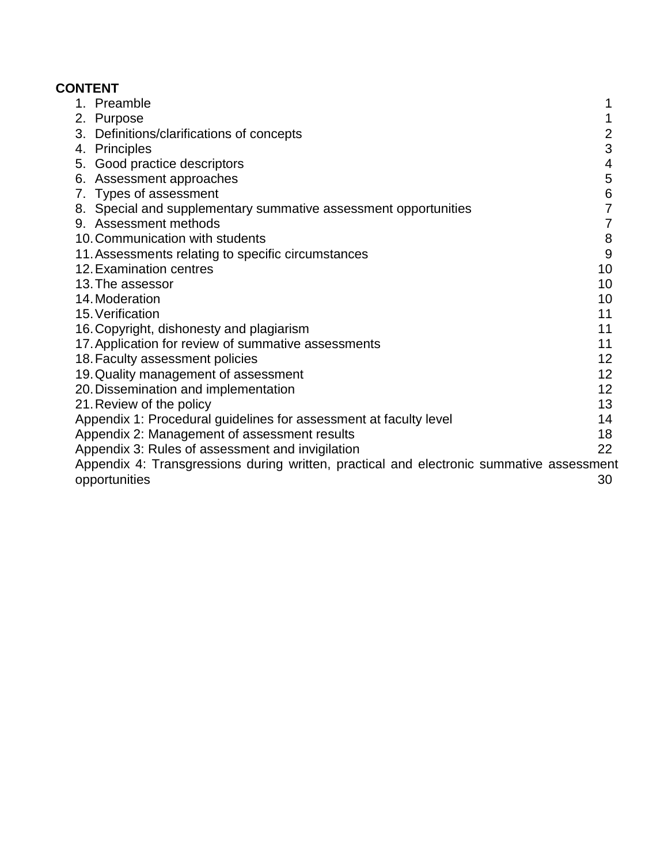# **CONTENT**

| 1. Preamble                                                                              | 1               |
|------------------------------------------------------------------------------------------|-----------------|
| 2. Purpose                                                                               | 1               |
| 3. Definitions/clarifications of concepts                                                | 2               |
| 4. Principles                                                                            | 3               |
| 5. Good practice descriptors                                                             | 4               |
| 6. Assessment approaches                                                                 | 5               |
| 7. Types of assessment                                                                   | 6               |
| 8. Special and supplementary summative assessment opportunities                          | 7               |
| 9. Assessment methods                                                                    | 7               |
| 10. Communication with students                                                          | 8               |
| 11. Assessments relating to specific circumstances                                       | 9               |
| 12. Examination centres                                                                  | 10              |
| 13. The assessor                                                                         | 10              |
| 14. Moderation                                                                           | 10              |
| 15. Verification                                                                         | 11              |
| 16. Copyright, dishonesty and plagiarism                                                 | 11              |
| 17. Application for review of summative assessments                                      | 11              |
| 18. Faculty assessment policies                                                          | 12              |
| 19. Quality management of assessment                                                     | 12 <sub>2</sub> |
| 20. Dissemination and implementation                                                     | 12 <sup>2</sup> |
| 21. Review of the policy                                                                 | 13              |
| Appendix 1: Procedural guidelines for assessment at faculty level                        | 14              |
| Appendix 2: Management of assessment results                                             | 18              |
| Appendix 3: Rules of assessment and invigilation                                         | 22              |
| Appendix 4: Transgressions during written, practical and electronic summative assessment |                 |
| opportunities                                                                            | 30              |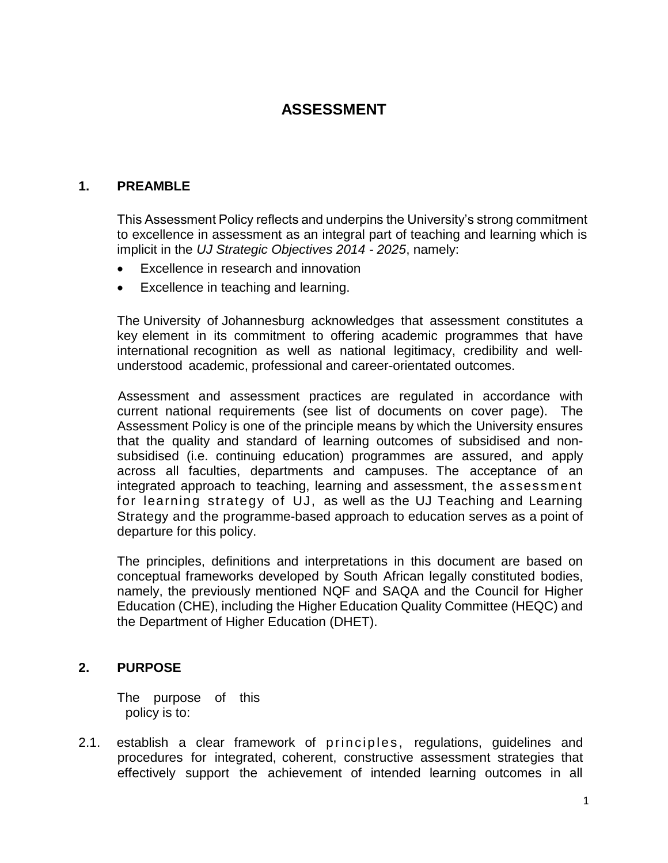# **ASSESSMENT**

#### <span id="page-4-0"></span>**1. PREAMBLE**

This Assessment Policy reflects and underpins the University's strong commitment to excellence in assessment as an integral part of teaching and learning which is implicit in the *UJ Strategic Objectives 2014 - 2025*, namely:

- Excellence in research and innovation
- Excellence in teaching and learning.

The University of Johannesburg acknowledges that assessment constitutes a key element in its commitment to offering academic programmes that have international recognition as well as national legitimacy, credibility and wellunderstood academic, professional and career-orientated outcomes.

Assessment and assessment practices are regulated in accordance with current national requirements (see list of documents on cover page). The Assessment Policy is one of the principle means by which the University ensures that the quality and standard of learning outcomes of subsidised and nonsubsidised (i.e. continuing education) programmes are assured, and apply across all faculties, departments and campuses. The acceptance of an integrated approach to teaching, learning and assessment, the assessment for learning strategy of UJ, as well as the UJ Teaching and Learning Strategy and the programme-based approach to education serves as a point of departure for this policy.

The principles, definitions and interpretations in this document are based on conceptual frameworks developed by South African legally constituted bodies, namely, the previously mentioned NQF and SAQA and the Council for Higher Education (CHE), including the Higher Education Quality Committee (HEQC) and the Department of Higher Education (DHET).

#### **2. PURPOSE**

The purpose of this policy is to:

2.1. establish a clear framework of principles, regulations, guidelines and procedures for integrated, coherent, constructive assessment strategies that effectively support the achievement of intended learning outcomes in all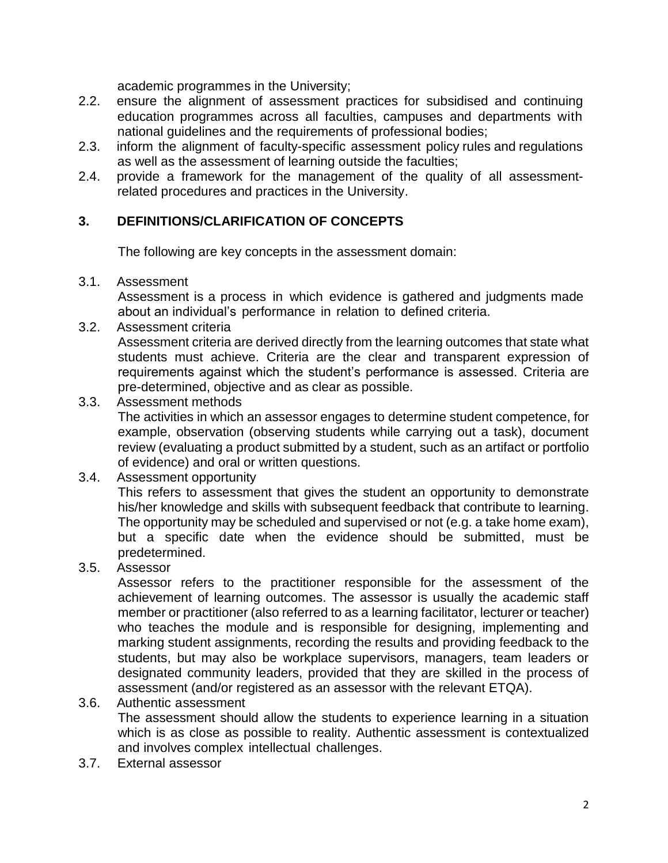academic programmes in the University;

- 2.2. ensure the alignment of assessment practices for subsidised and continuing education programmes across all faculties, campuses and departments with national guidelines and the requirements of professional bodies;
- 2.3. inform the alignment of faculty-specific assessment policy rules and regulations as well as the assessment of learning outside the faculties;
- 2.4. provide a framework for the management of the quality of all assessmentrelated procedures and practices in the University.

## **3. DEFINITIONS/CLARIFICATION OF CONCEPTS**

The following are key concepts in the assessment domain:

#### 3.1. Assessment

Assessment is a process in which evidence is gathered and judgments made about an individual's performance in relation to defined criteria.

### 3.2. Assessment criteria

Assessment criteria are derived directly from the learning outcomes that state what students must achieve. Criteria are the clear and transparent expression of requirements against which the student's performance is assessed. Criteria are pre-determined, objective and as clear as possible.

#### 3.3. Assessment methods

The activities in which an assessor engages to determine student competence, for example, observation (observing students while carrying out a task), document review (evaluating a product submitted by a student, such as an artifact or portfolio of evidence) and oral or written questions.

#### 3.4. Assessment opportunity

This refers to assessment that gives the student an opportunity to demonstrate his/her knowledge and skills with subsequent feedback that contribute to learning. The opportunity may be scheduled and supervised or not (e.g. a take home exam), but a specific date when the evidence should be submitted, must be predetermined.

#### 3.5. Assessor

Assessor refers to the practitioner responsible for the assessment of the achievement of learning outcomes. The assessor is usually the academic staff member or practitioner (also referred to as a learning facilitator, lecturer or teacher) who teaches the module and is responsible for designing, implementing and marking student assignments, recording the results and providing feedback to the students, but may also be workplace supervisors, managers, team leaders or designated community leaders, provided that they are skilled in the process of assessment (and/or registered as an assessor with the relevant ETQA).

#### 3.6. Authentic assessment

The assessment should allow the students to experience learning in a situation which is as close as possible to reality. Authentic assessment is contextualized and involves complex intellectual challenges.

3.7. External assessor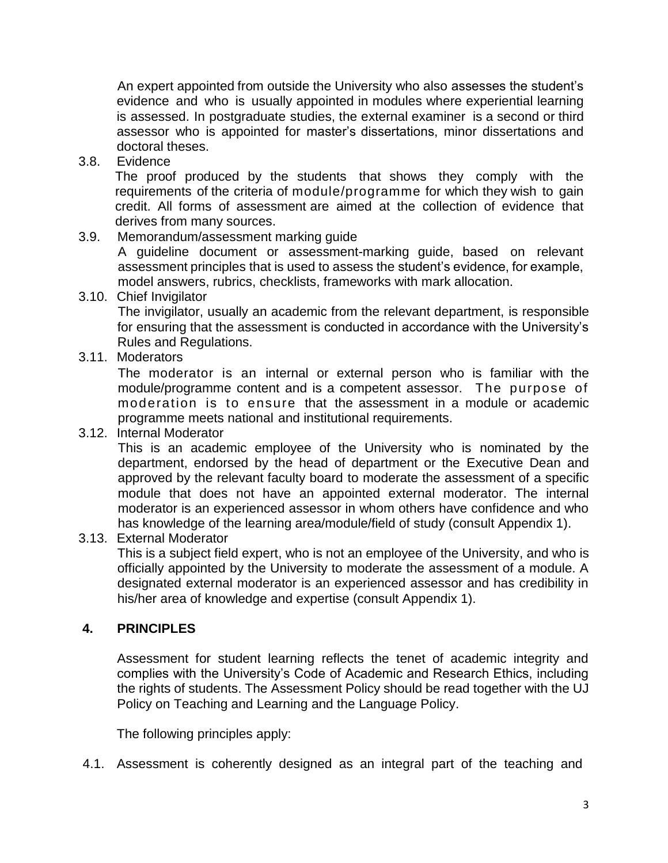An expert appointed from outside the University who also assesses the student's evidence and who is usually appointed in modules where experiential learning is assessed. In postgraduate studies, the external examiner is a second or third assessor who is appointed for master's dissertations, minor dissertations and doctoral theses.

3.8. Evidence

The proof produced by the students that shows they comply with the requirements of the criteria of module/programme for which they wish to gain credit. All forms of assessment are aimed at the collection of evidence that derives from many sources.

3.9. Memorandum/assessment marking guide

A guideline document or assessment-marking guide, based on relevant assessment principles that is used to assess the student's evidence, for example, model answers, rubrics, checklists, frameworks with mark allocation.

3.10. Chief Invigilator

The invigilator, usually an academic from the relevant department, is responsible for ensuring that the assessment is conducted in accordance with the University's Rules and Regulations.

3.11. Moderators

The moderator is an internal or external person who is familiar with the module/programme content and is a competent assessor. The purpose of moderation is to ensure that the assessment in a module or academic programme meets national and institutional requirements.

#### 3.12. Internal Moderator

This is an academic employee of the University who is nominated by the department, endorsed by the head of department or the Executive Dean and approved by the relevant faculty board to moderate the assessment of a specific module that does not have an appointed external moderator. The internal moderator is an experienced assessor in whom others have confidence and who has knowledge of the learning area/module/field of study (consult Appendix 1).

#### 3.13. External Moderator

This is a subject field expert, who is not an employee of the University, and who is officially appointed by the University to moderate the assessment of a module. A designated external moderator is an experienced assessor and has credibility in his/her area of knowledge and expertise (consult Appendix 1).

#### **4. PRINCIPLES**

Assessment for student learning reflects the tenet of academic integrity and complies with the University's Code of Academic and Research Ethics, including the rights of students. The Assessment Policy should be read together with the UJ Policy on Teaching and Learning and the Language Policy.

The following principles apply:

4.1. Assessment is coherently designed as an integral part of the teaching and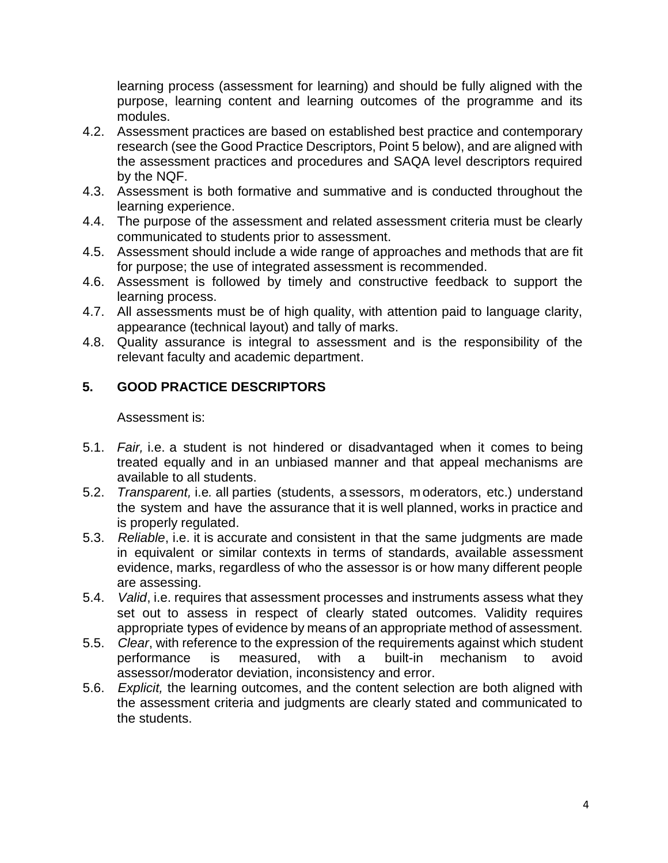learning process (assessment for learning) and should be fully aligned with the purpose, learning content and learning outcomes of the programme and its modules.

- 4.2. Assessment practices are based on established best practice and contemporary research (see the Good Practice Descriptors, Point 5 below), and are aligned with the assessment practices and procedures and SAQA level descriptors required by the NQF.
- 4.3. Assessment is both formative and summative and is conducted throughout the learning experience.
- 4.4. The purpose of the assessment and related assessment criteria must be clearly communicated to students prior to assessment.
- 4.5. Assessment should include a wide range of approaches and methods that are fit for purpose; the use of integrated assessment is recommended.
- 4.6. Assessment is followed by timely and constructive feedback to support the learning process.
- 4.7. All assessments must be of high quality, with attention paid to language clarity, appearance (technical layout) and tally of marks.
- 4.8. Quality assurance is integral to assessment and is the responsibility of the relevant faculty and academic department.

# **5. GOOD PRACTICE DESCRIPTORS**

Assessment is:

- 5.1. *Fair,* i.e. a student is not hindered or disadvantaged when it comes to being treated equally and in an unbiased manner and that appeal mechanisms are available to all students.
- 5.2. *Transparent,* i.e*.* all parties (students, a ssessors, m oderators, etc.) understand the system and have the assurance that it is well planned, works in practice and is properly regulated.
- 5.3. *Reliable*, i.e. it is accurate and consistent in that the same judgments are made in equivalent or similar contexts in terms of standards, available assessment evidence, marks, regardless of who the assessor is or how many different people are assessing.
- 5.4. *Valid*, i.e. requires that assessment processes and instruments assess what they set out to assess in respect of clearly stated outcomes. Validity requires appropriate types of evidence by means of an appropriate method of assessment.
- 5.5. *Clear*, with reference to the expression of the requirements against which student performance is measured, with a built-in mechanism to avoid assessor/moderator deviation, inconsistency and error.
- 5.6. *Explicit,* the learning outcomes, and the content selection are both aligned with the assessment criteria and judgments are clearly stated and communicated to the students.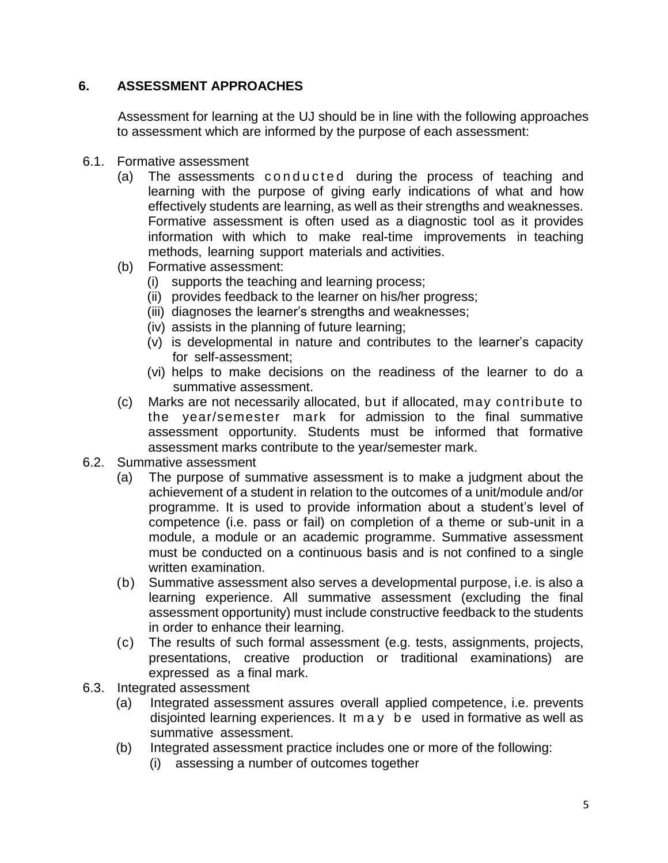# **6. ASSESSMENT APPROACHES**

Assessment for learning at the UJ should be in line with the following approaches to assessment which are informed by the purpose of each assessment:

- 6.1. Formative assessment
	- (a) The assessments conducted during the process of teaching and learning with the purpose of giving early indications of what and how effectively students are learning, as well as their strengths and weaknesses. Formative assessment is often used as a diagnostic tool as it provides information with which to make real-time improvements in teaching methods, learning support materials and activities.
	- (b) Formative assessment:
		- (i) supports the teaching and learning process;
		- (ii) provides feedback to the learner on his/her progress;
		- (iii) diagnoses the learner's strengths and weaknesses;
		- (iv) assists in the planning of future learning;
		- (v) is developmental in nature and contributes to the learner's capacity for self-assessment;
		- (vi) helps to make decisions on the readiness of the learner to do a summative assessment.
	- (c) Marks are not necessarily allocated, but if allocated, may contribute to the year/semester mark for admission to the final summative assessment opportunity. Students must be informed that formative assessment marks contribute to the year/semester mark.
- 6.2. Summative assessment
	- (a) The purpose of summative assessment is to make a judgment about the achievement of a student in relation to the outcomes of a unit/module and/or programme. It is used to provide information about a student's level of competence (i.e. pass or fail) on completion of a theme or sub-unit in a module, a module or an academic programme. Summative assessment must be conducted on a continuous basis and is not confined to a single written examination.
	- (b) Summative assessment also serves a developmental purpose, i.e. is also a learning experience. All summative assessment (excluding the final assessment opportunity) must include constructive feedback to the students in order to enhance their learning.
	- (c) The results of such formal assessment (e.g. tests, assignments, projects, presentations, creative production or traditional examinations) are expressed as a final mark.
- 6.3. Integrated assessment
	- (a) Integrated assessment assures overall applied competence, i.e. prevents disjointed learning experiences. It m a y b e used in formative as well as summative assessment.
	- (b) Integrated assessment practice includes one or more of the following:
		- (i) assessing a number of outcomes together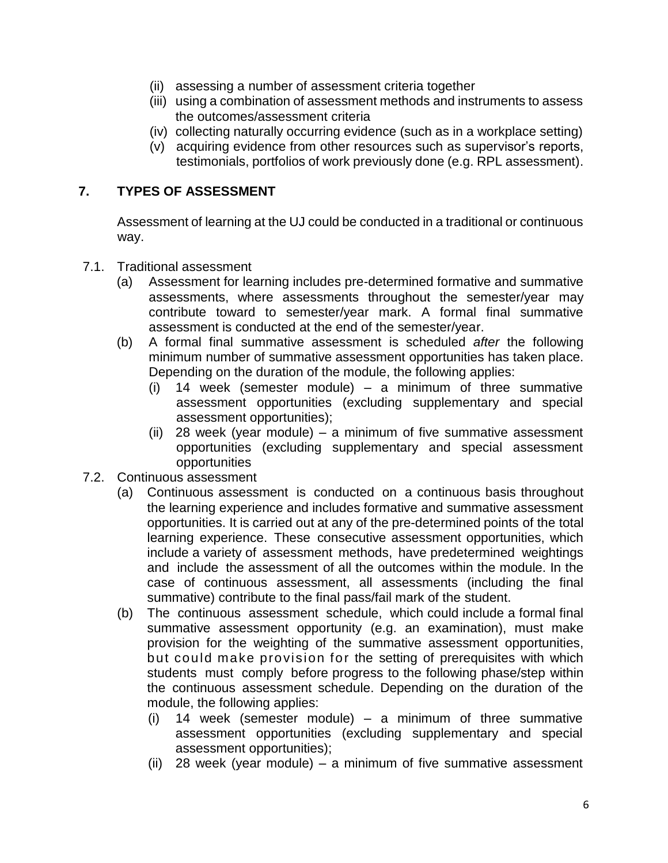- (ii) assessing a number of assessment criteria together
- (iii) using a combination of assessment methods and instruments to assess the outcomes/assessment criteria
- (iv) collecting naturally occurring evidence (such as in a workplace setting)
- (v) acquiring evidence from other resources such as supervisor's reports, testimonials, portfolios of work previously done (e.g. RPL assessment).

# **7. TYPES OF ASSESSMENT**

Assessment of learning at the UJ could be conducted in a traditional or continuous way.

- 7.1. Traditional assessment
	- (a) Assessment for learning includes pre-determined formative and summative assessments, where assessments throughout the semester/year may contribute toward to semester/year mark. A formal final summative assessment is conducted at the end of the semester/year.
	- (b) A formal final summative assessment is scheduled *after* the following minimum number of summative assessment opportunities has taken place. Depending on the duration of the module, the following applies:
		- (i) 14 week (semester module) a minimum of three summative assessment opportunities (excluding supplementary and special assessment opportunities);
		- (ii) 28 week (year module) a minimum of five summative assessment opportunities (excluding supplementary and special assessment opportunities
- 7.2. Continuous assessment
	- (a) Continuous assessment is conducted on a continuous basis throughout the learning experience and includes formative and summative assessment opportunities. It is carried out at any of the pre-determined points of the total learning experience. These consecutive assessment opportunities, which include a variety of assessment methods, have predetermined weightings and include the assessment of all the outcomes within the module. In the case of continuous assessment, all assessments (including the final summative) contribute to the final pass/fail mark of the student.
	- (b) The continuous assessment schedule, which could include a formal final summative assessment opportunity (e.g. an examination), must make provision for the weighting of the summative assessment opportunities, but could make provision for the setting of prerequisites with which students must comply before progress to the following phase/step within the continuous assessment schedule. Depending on the duration of the module, the following applies:
		- (i) 14 week (semester module) a minimum of three summative assessment opportunities (excluding supplementary and special assessment opportunities);
		- (ii) 28 week (year module) a minimum of five summative assessment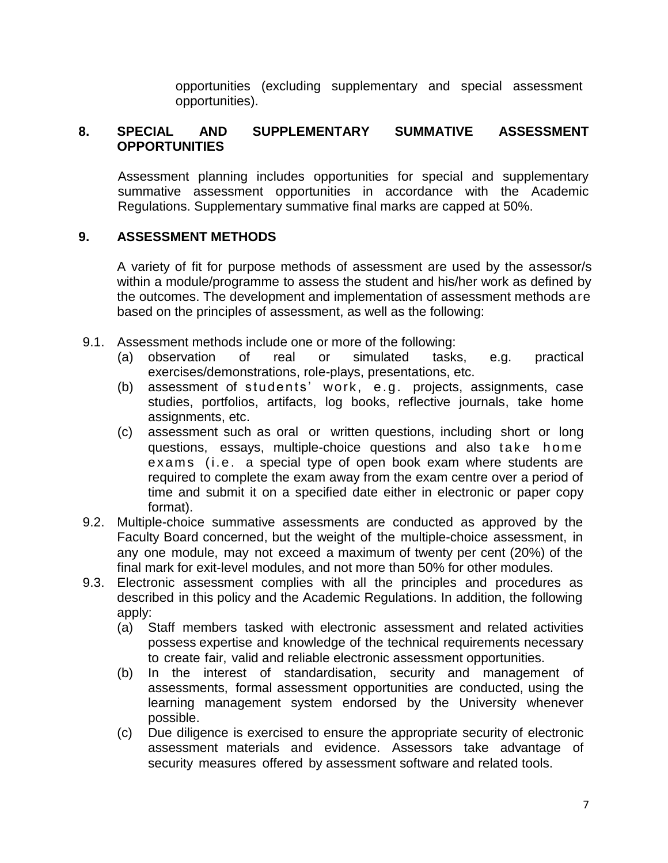opportunities (excluding supplementary and special assessment opportunities).

## **8. SPECIAL AND SUPPLEMENTARY SUMMATIVE ASSESSMENT OPPORTUNITIES**

Assessment planning includes opportunities for special and supplementary summative assessment opportunities in accordance with the Academic Regulations. Supplementary summative final marks are capped at 50%.

### **9. ASSESSMENT METHODS**

A variety of fit for purpose methods of assessment are used by the assessor/s within a module/programme to assess the student and his/her work as defined by the outcomes. The development and implementation of assessment methods are based on the principles of assessment, as well as the following:

- 9.1. Assessment methods include one or more of the following:
	- (a) observation of real or simulated tasks, e.g. practical exercises/demonstrations, role-plays, presentations, etc.
	- (b) assessment of students' work, e.g. projects, assignments, case studies, portfolios, artifacts, log books, reflective journals, take home assignments, etc.
	- (c) assessment such as oral or written questions, including short or long questions, essays, multiple-choice questions and also take home exams (i.e. a special type of open book exam where students are required to complete the exam away from the exam centre over a period of time and submit it on a specified date either in electronic or paper copy format).
- 9.2. Multiple-choice summative assessments are conducted as approved by the Faculty Board concerned, but the weight of the multiple-choice assessment, in any one module, may not exceed a maximum of twenty per cent (20%) of the final mark for exit-level modules, and not more than 50% for other modules.
- 9.3. Electronic assessment complies with all the principles and procedures as described in this policy and the Academic Regulations. In addition, the following apply:
	- (a) Staff members tasked with electronic assessment and related activities possess expertise and knowledge of the technical requirements necessary to create fair, valid and reliable electronic assessment opportunities.
	- (b) In the interest of standardisation, security and management of assessments, formal assessment opportunities are conducted, using the learning management system endorsed by the University whenever possible.
	- (c) Due diligence is exercised to ensure the appropriate security of electronic assessment materials and evidence. Assessors take advantage of security measures offered by assessment software and related tools.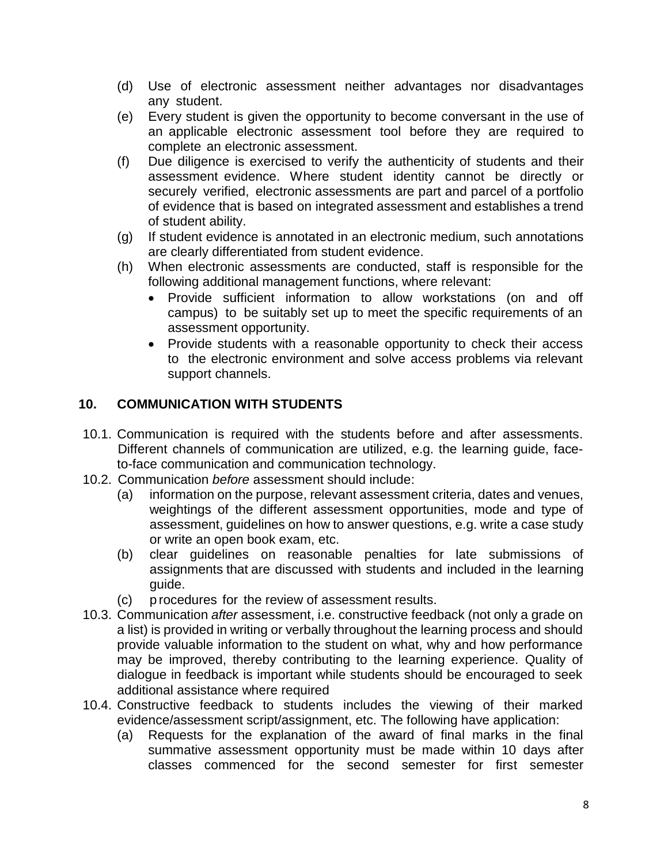- (d) Use of electronic assessment neither advantages nor disadvantages any student.
- (e) Every student is given the opportunity to become conversant in the use of an applicable electronic assessment tool before they are required to complete an electronic assessment.
- (f) Due diligence is exercised to verify the authenticity of students and their assessment evidence. Where student identity cannot be directly or securely verified, electronic assessments are part and parcel of a portfolio of evidence that is based on integrated assessment and establishes a trend of student ability.
- (g) If student evidence is annotated in an electronic medium, such annotations are clearly differentiated from student evidence.
- (h) When electronic assessments are conducted, staff is responsible for the following additional management functions, where relevant:
	- Provide sufficient information to allow workstations (on and off campus) to be suitably set up to meet the specific requirements of an assessment opportunity.
	- Provide students with a reasonable opportunity to check their access to the electronic environment and solve access problems via relevant support channels.

# **10. COMMUNICATION WITH STUDENTS**

- 10.1. Communication is required with the students before and after assessments. Different channels of communication are utilized, e.g. the learning guide, faceto-face communication and communication technology.
- 10.2. Communication *before* assessment should include:
	- (a) information on the purpose, relevant assessment criteria, dates and venues, weightings of the different assessment opportunities, mode and type of assessment, guidelines on how to answer questions, e.g. write a case study or write an open book exam, etc.
	- (b) clear guidelines on reasonable penalties for late submissions of assignments that are discussed with students and included in the learning guide.
	- (c) p rocedures for the review of assessment results.
- 10.3. Communication *after* assessment, i.e. constructive feedback (not only a grade on a list) is provided in writing or verbally throughout the learning process and should provide valuable information to the student on what, why and how performance may be improved, thereby contributing to the learning experience. Quality of dialogue in feedback is important while students should be encouraged to seek additional assistance where required
- 10.4. Constructive feedback to students includes the viewing of their marked evidence/assessment script/assignment, etc. The following have application:
	- (a) Requests for the explanation of the award of final marks in the final summative assessment opportunity must be made within 10 days after classes commenced for the second semester for first semester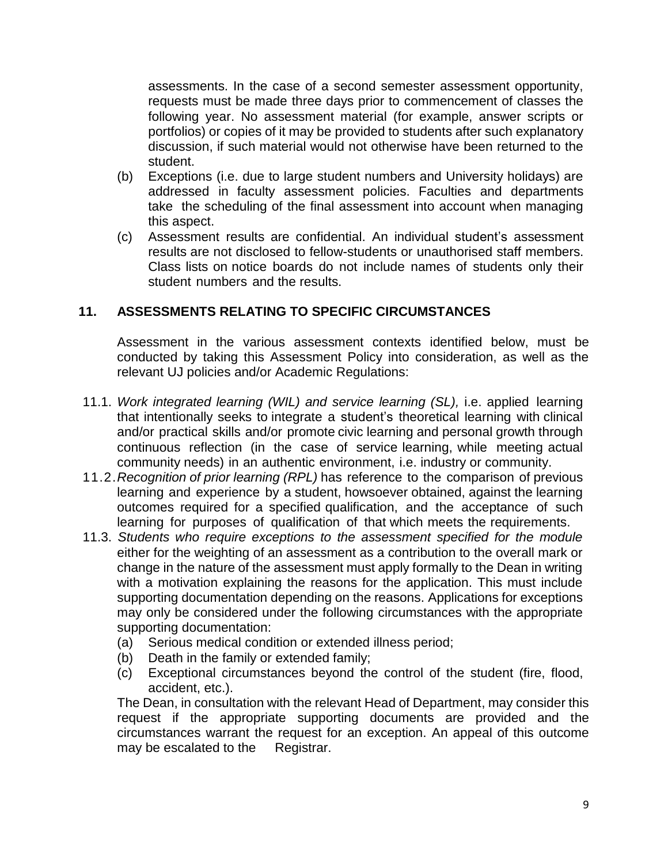assessments. In the case of a second semester assessment opportunity, requests must be made three days prior to commencement of classes the following year. No assessment material (for example, answer scripts or portfolios) or copies of it may be provided to students after such explanatory discussion, if such material would not otherwise have been returned to the student.

- (b) Exceptions (i.e. due to large student numbers and University holidays) are addressed in faculty assessment policies. Faculties and departments take the scheduling of the final assessment into account when managing this aspect.
- (c) Assessment results are confidential. An individual student's assessment results are not disclosed to fellow-students or unauthorised staff members. Class lists on notice boards do not include names of students only their student numbers and the results.

### <span id="page-12-0"></span>**11. ASSESSMENTS RELATING TO SPECIFIC CIRCUMSTANCES**

Assessment in the various assessment contexts identified below, must be conducted by taking this Assessment Policy into consideration, as well as the relevant UJ policies and/or Academic Regulations:

- 11.1. *Work integrated learning (WIL) and service learning (SL),* i.e. applied learning that intentionally seeks to integrate a student's theoretical learning with clinical and/or practical skills and/or promote civic learning and personal growth through continuous reflection (in the case of service learning, while meeting actual community needs) in an authentic environment, i.e. industry or community.
- 11.2.*Recognition of prior learning (RPL)* has reference to the comparison of previous learning and experience by a student, howsoever obtained, against the learning outcomes required for a specified qualification, and the acceptance of such learning for purposes of qualification of that which meets the requirements.
- 11.3. *Students who require exceptions to the assessment specified for the module* either for the weighting of an assessment as a contribution to the overall mark or change in the nature of the assessment must apply formally to the Dean in writing with a motivation explaining the reasons for the application. This must include supporting documentation depending on the reasons. Applications for exceptions may only be considered under the following circumstances with the appropriate supporting documentation:
	- (a) Serious medical condition or extended illness period;
	- (b) Death in the family or extended family;
	- (c) Exceptional circumstances beyond the control of the student (fire, flood, accident, etc.).

The Dean, in consultation with the relevant Head of Department, may consider this request if the appropriate supporting documents are provided and the circumstances warrant the request for an exception. An appeal of this outcome may be escalated to the Registrar.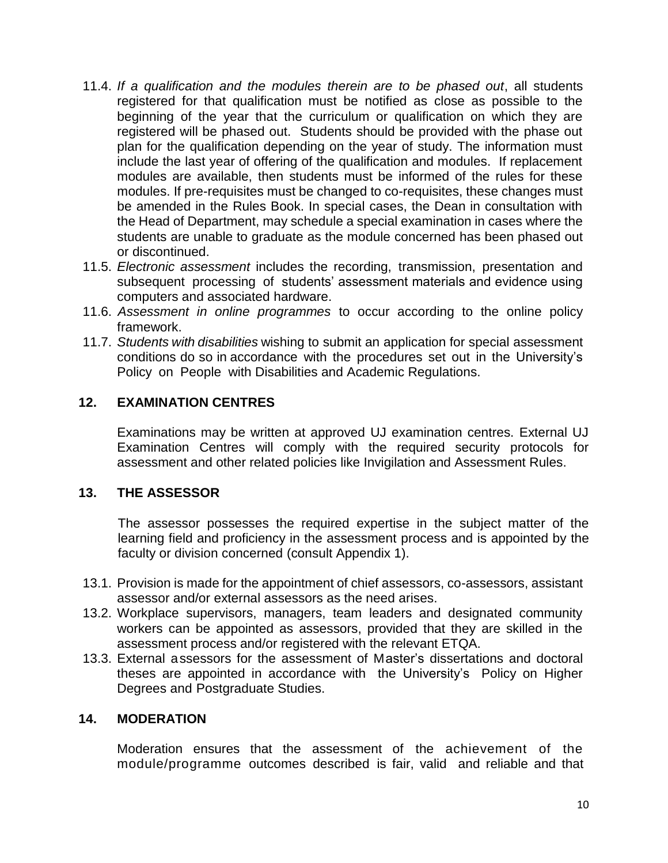- 11.4. *If a qualification and the modules therein are to be phased out*, all students registered for that qualification must be notified as close as possible to the beginning of the year that the curriculum or qualification on which they are registered will be phased out. Students should be provided with the phase out plan for the qualification depending on the year of study. The information must include the last year of offering of the qualification and modules. If replacement modules are available, then students must be informed of the rules for these modules. If pre-requisites must be changed to co-requisites, these changes must be amended in the Rules Book. In special cases, the Dean in consultation with the Head of Department, may schedule a special examination in cases where the students are unable to graduate as the module concerned has been phased out or discontinued.
- 11.5. *Electronic assessment* includes the recording, transmission, presentation and subsequent processing of students' assessment materials and evidence using computers and associated hardware.
- 11.6. *Assessment in online programmes* to occur according to the online policy framework.
- 11.7. *Students with disabilities* wishing to submit an application for special assessment conditions do so in accordance with the procedures set out in the University's Policy on People with Disabilities and Academic Regulations.

### **12. EXAMINATION CENTRES**

Examinations may be written at approved UJ examination centres. External UJ Examination Centres will comply with the required security protocols for assessment and other related policies like Invigilation and Assessment Rules.

#### <span id="page-13-0"></span>**13. THE ASSESSOR**

The assessor possesses the required expertise in the subject matter of the learning field and proficiency in the assessment process and is appointed by the faculty or division concerned (consult Appendix 1).

- 13.1. Provision is made for the appointment of chief assessors, co-assessors, assistant assessor and/or external assessors as the need arises.
- 13.2. Workplace supervisors, managers, team leaders and designated community workers can be appointed as assessors, provided that they are skilled in the assessment process and/or registered with the relevant ETQA.
- 13.3. External assessors for the assessment of Master's dissertations and doctoral theses are appointed in accordance with the University's Policy on Higher Degrees and Postgraduate Studies.

#### <span id="page-13-1"></span>**14. MODERATION**

Moderation ensures that the assessment of the achievement of the module/programme outcomes described is fair, valid and reliable and that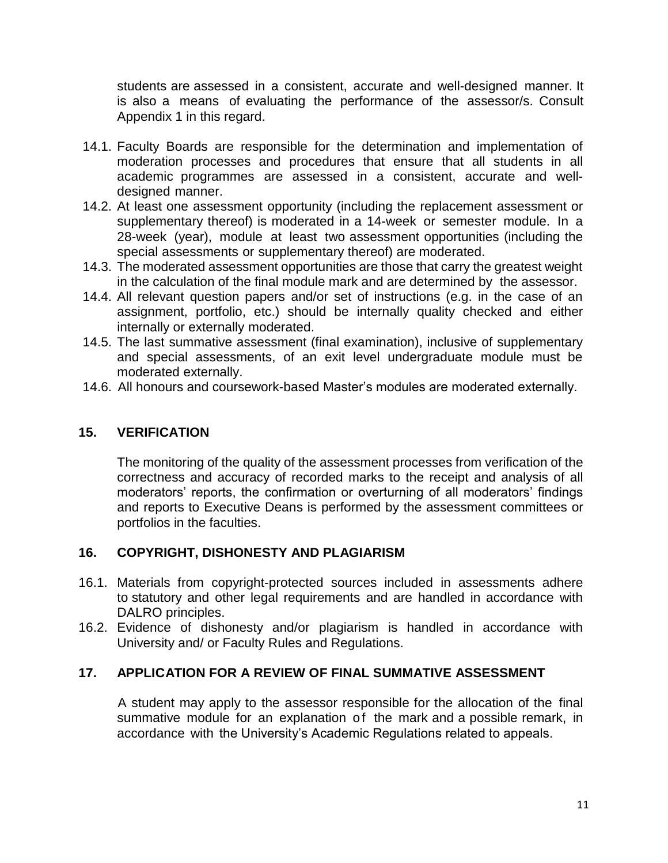<span id="page-14-1"></span>students are assessed in a consistent, accurate and well-designed manner. It is also a means of evaluating the performance of the assessor/s. Consult Appendix 1 in this regard.

- 14.1. Faculty Boards are responsible for the determination and implementation of moderation processes and procedures that ensure that all students in all academic programmes are assessed in a consistent, accurate and welldesigned manner.
- 14.2. At least one assessment opportunity (including the replacement assessment or supplementary thereof) is moderated in a 14-week or semester module. In a 28-week (year), module at least two assessment opportunities (including the special assessments or supplementary thereof) are moderated.
- 14.3. The moderated assessment opportunities are those that carry the greatest weight in the calculation of the final module mark and are determined by the assessor.
- 14.4. All relevant question papers and/or set of instructions (e.g. in the case of an assignment, portfolio, etc.) should be internally quality checked and either internally or externally moderated.
- 14.5. The last summative assessment (final examination), inclusive of supplementary and special assessments, of an exit level undergraduate module must be moderated externally.
- 14.6. All honours and coursework-based Master's modules are moderated externally.

# **15. VERIFICATION**

The monitoring of the quality of the assessment processes from verification of the correctness and accuracy of recorded marks to the receipt and analysis of all moderators' reports, the confirmation or overturning of all moderators' findings and reports to Executive Deans is performed by the assessment committees or portfolios in the faculties.

## **16. COPYRIGHT, DISHONESTY AND PLAGIARISM**

- 16.1. Materials from copyright-protected sources included in assessments adhere to statutory and other legal requirements and are handled in accordance with DALRO principles.
- 16.2. Evidence of dishonesty and/or plagiarism is handled in accordance with University and/ or Faculty Rules and Regulations.

#### <span id="page-14-0"></span>**17. APPLICATION FOR A REVIEW OF FINAL SUMMATIVE ASSESSMENT**

A student may apply to the assessor responsible for the allocation of the final summative module for an explanation of the mark and a possible remark, in accordance with the University's Academic Regulations related to appeals.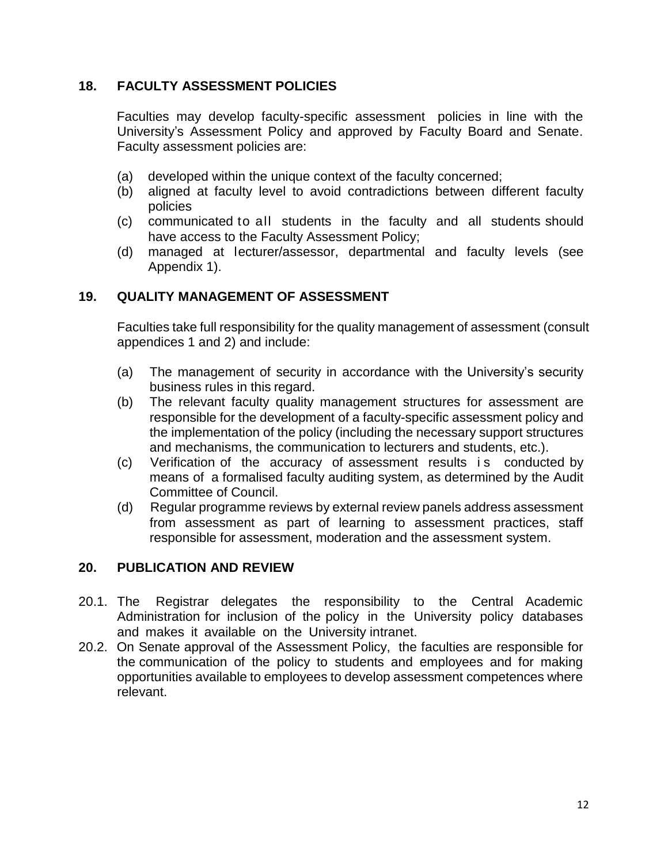## <span id="page-15-2"></span>**18. FACULTY ASSESSMENT POLICIES**

Faculties may develop faculty-specific assessment policies in line with the University's Assessment Policy and approved by Faculty Board and Senate. Faculty assessment policies are:

- (a) developed within the unique context of the faculty concerned;
- (b) aligned at faculty level to avoid contradictions between different faculty policies
- (c) communicated to all students in the faculty and all students should have access to the Faculty Assessment Policy;
- (d) managed at lecturer/assessor, departmental and faculty levels (see Appendix 1).

# <span id="page-15-0"></span>**19. QUALITY MANAGEMENT OF ASSESSMENT**

Faculties take full responsibility for the quality management of assessment (consult appendices 1 and 2) and include:

- (a) The management of security in accordance with the University's security business rules in this regard.
- (b) The relevant faculty quality management structures for assessment are responsible for the development of a faculty-specific assessment policy and the implementation of the policy (including the necessary support structures and mechanisms, the communication to lecturers and students, etc.).
- (c) Verification of the accuracy of assessment results is conducted by means of a formalised faculty auditing system, as determined by the Audit Committee of Council.
- (d) Regular programme reviews by external review panels address assessment from assessment as part of learning to assessment practices, staff responsible for assessment, moderation and the assessment system.

## <span id="page-15-1"></span>**20. PUBLICATION AND REVIEW**

- 20.1. The Registrar delegates the responsibility to the Central Academic Administration for inclusion of the policy in the University policy databases and makes it available on the University intranet.
- 20.2. On Senate approval of the Assessment Policy, the faculties are responsible for the communication of the policy to students and employees and for making opportunities available to employees to develop assessment competences where relevant.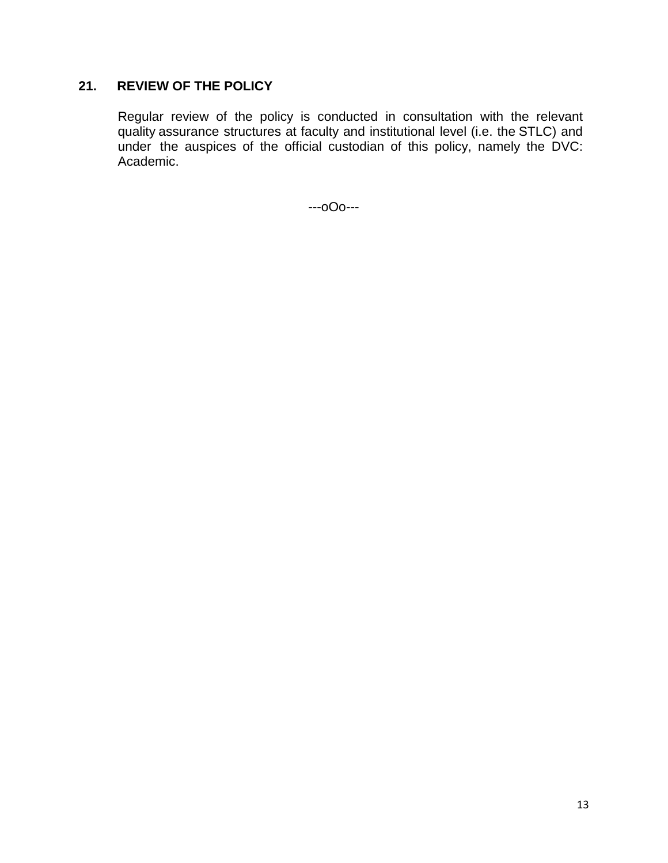# **21. REVIEW OF THE POLICY**

Regular review of the policy is conducted in consultation with the relevant quality assurance structures at faculty and institutional level (i.e. the STLC) and under the auspices of the official custodian of this policy, namely the DVC: Academic.

---oOo---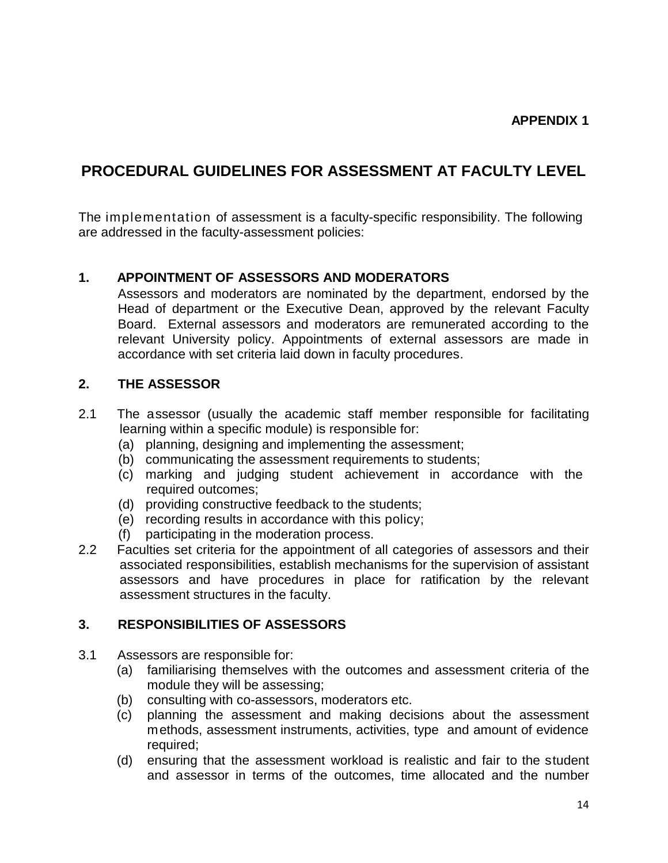# **PROCEDURAL GUIDELINES FOR ASSESSMENT AT FACULTY LEVEL**

The implementation of assessment is a faculty-specific responsibility. The following are addressed in the faculty-assessment policies:

### **1. APPOINTMENT OF ASSESSORS AND MODERATORS**

Assessors and moderators are nominated by the department, endorsed by the Head of department or the Executive Dean, approved by the relevant Faculty Board. External assessors and moderators are remunerated according to the relevant University policy. Appointments of external assessors are made in accordance with set criteria laid down in faculty procedures.

### **2. THE ASSESSOR**

- 2.1 The assessor (usually the academic staff member responsible for facilitating learning within a specific module) is responsible for:
	- (a) planning, designing and implementing the assessment;
	- (b) communicating the assessment requirements to students;
	- (c) marking and judging student achievement in accordance with the required outcomes;
	- (d) providing constructive feedback to the students;
	- (e) recording results in accordance with this policy;
	- (f) participating in the moderation process.
- 2.2 Faculties set criteria for the appointment of all categories of assessors and their associated responsibilities, establish mechanisms for the supervision of assistant assessors and have procedures in place for ratification by the relevant assessment structures in the faculty.

#### **3. RESPONSIBILITIES OF ASSESSORS**

- 3.1 Assessors are responsible for:
	- (a) familiarising themselves with the outcomes and assessment criteria of the module they will be assessing;
	- (b) consulting with co-assessors, moderators etc.
	- (c) planning the assessment and making decisions about the assessment methods, assessment instruments, activities, type and amount of evidence required:
	- (d) ensuring that the assessment workload is realistic and fair to the student and assessor in terms of the outcomes, time allocated and the number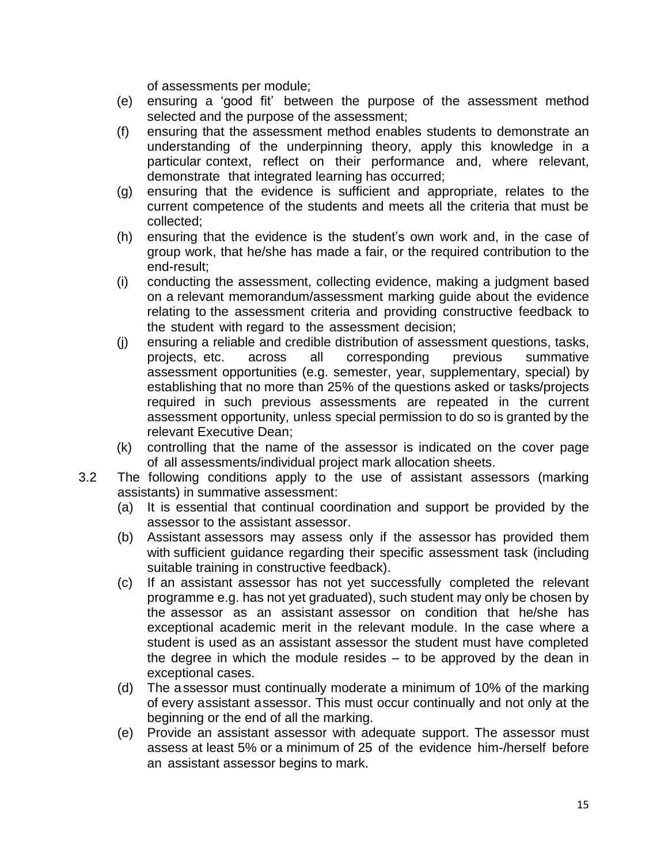of assessments per module;

- (e) ensuring a 'good fit' between the purpose of the assessment method selected and the purpose of the assessment;
- (f) ensuring that the assessment method enables students to demonstrate an understanding of the underpinning theory, apply this knowledge in a particular context, reflect on their performance and, where relevant, demonstrate that integrated learning has occurred;
- (g) ensuring that the evidence is sufficient and appropriate, relates to the current competence of the students and meets all the criteria that must be collected;
- (h) ensuring that the evidence is the student's own work and, in the case of group work, that he/she has made a fair, or the required contribution to the end-result;
- (i) conducting the assessment, collecting evidence, making a judgment based on a relevant memorandum/assessment marking guide about the evidence relating to the assessment criteria and providing constructive feedback to the student with regard to the assessment decision;
- (j) ensuring a reliable and credible distribution of assessment questions, tasks, projects, etc. across all corresponding previous summative assessment opportunities (e.g. semester, year, supplementary, special) by establishing that no more than 25% of the questions asked or tasks/projects required in such previous assessments are repeated in the current assessment opportunity, unless special permission to do so is granted by the relevant Executive Dean;
- (k) controlling that the name of the assessor is indicated on the cover page of all assessments/individual project mark allocation sheets.
- 3.2 The following conditions apply to the use of assistant assessors (marking assistants) in summative assessment:
	- (a) It is essential that continual coordination and support be provided by the assessor to the assistant assessor.
	- (b) Assistant assessors may assess only if the assessor has provided them with sufficient guidance regarding their specific assessment task (including suitable training in constructive feedback).
	- (c) If an assistant assessor has not yet successfully completed the relevant programme e.g. has not yet graduated), such student may only be chosen by the assessor as an assistant assessor on condition that he/she has exceptional academic merit in the relevant module. In the case where a student is used as an assistant assessor the student must have completed the degree in which the module resides – to be approved by the dean in exceptional cases.
	- (d) The assessor must continually moderate a minimum of 10% of the marking of every assistant assessor. This must occur continually and not only at the beginning or the end of all the marking.
	- (e) Provide an assistant assessor with adequate support. The assessor must assess at least 5% or a minimum of 25 of the evidence him-/herself before an assistant assessor begins to mark.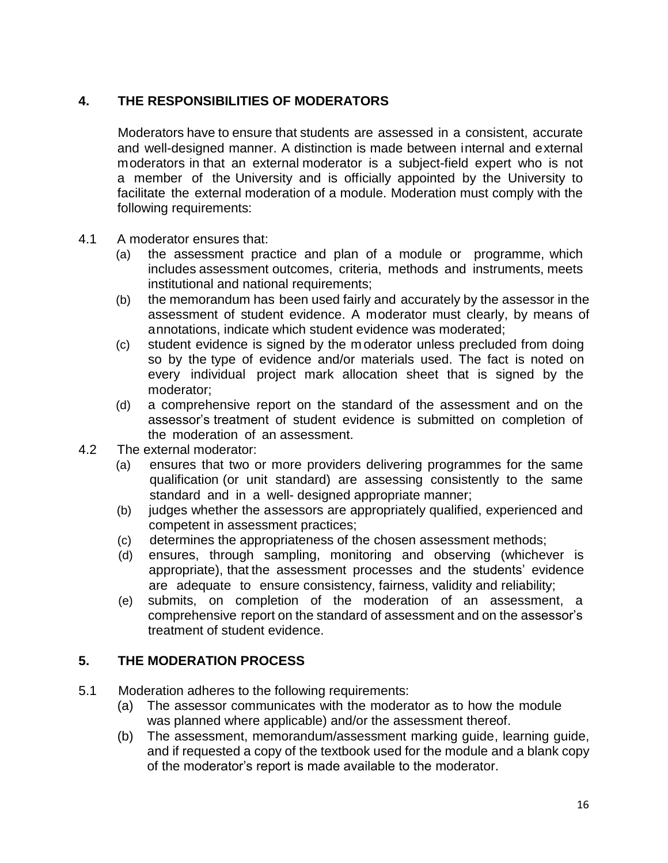# **4. THE RESPONSIBILITIES OF MODERATORS**

Moderators have to ensure that students are assessed in a consistent, accurate and well-designed manner. A distinction is made between internal and external moderators in that an external moderator is a subject-field expert who is not a member of the University and is officially appointed by the University to facilitate the external moderation of a module. Moderation must comply with the following requirements:

- 4.1 A moderator ensures that:
	- (a) the assessment practice and plan of a module or programme, which includes assessment outcomes, criteria, methods and instruments, meets institutional and national requirements;
	- (b) the memorandum has been used fairly and accurately by the assessor in the assessment of student evidence. A moderator must clearly, by means of annotations, indicate which student evidence was moderated;
	- (c) student evidence is signed by the moderator unless precluded from doing so by the type of evidence and/or materials used. The fact is noted on every individual project mark allocation sheet that is signed by the moderator;
	- (d) a comprehensive report on the standard of the assessment and on the assessor's treatment of student evidence is submitted on completion of the moderation of an assessment.
- 4.2 The external moderator:
	- (a) ensures that two or more providers delivering programmes for the same qualification (or unit standard) are assessing consistently to the same standard and in a well- designed appropriate manner;
	- (b) judges whether the assessors are appropriately qualified, experienced and competent in assessment practices;
	- (c) determines the appropriateness of the chosen assessment methods;
	- (d) ensures, through sampling, monitoring and observing (whichever is appropriate), that the assessment processes and the students' evidence are adequate to ensure consistency, fairness, validity and reliability;
	- (e) submits, on completion of the moderation of an assessment, a comprehensive report on the standard of assessment and on the assessor's treatment of student evidence.

# **5. THE MODERATION PROCESS**

- 5.1 Moderation adheres to the following requirements:
	- (a) The assessor communicates with the moderator as to how the module was planned where applicable) and/or the assessment thereof.
	- (b) The assessment, memorandum/assessment marking guide, learning guide, and if requested a copy of the textbook used for the module and a blank copy of the moderator's report is made available to the moderator.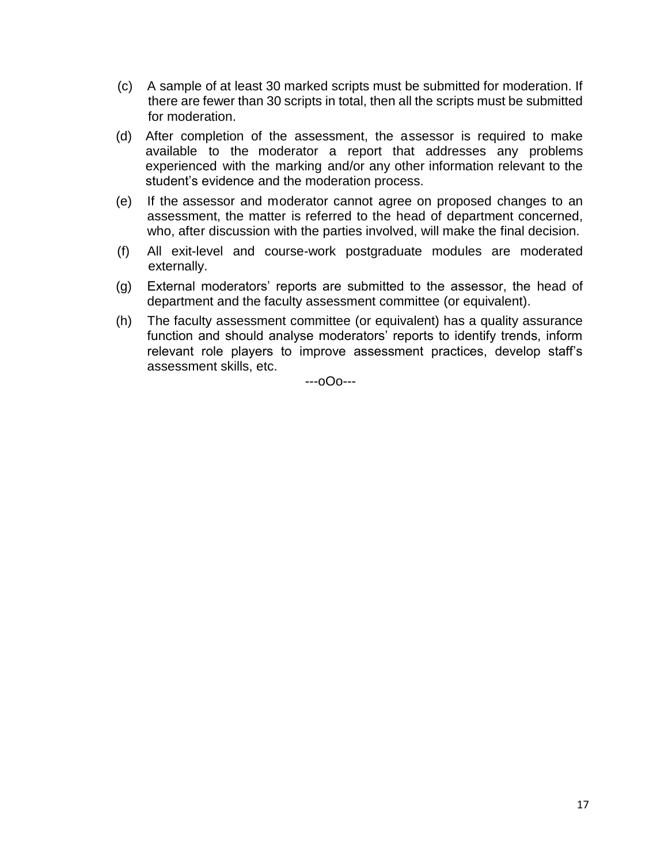- (c) A sample of at least 30 marked scripts must be submitted for moderation. If there are fewer than 30 scripts in total, then all the scripts must be submitted for moderation.
- (d) After completion of the assessment, the assessor is required to make available to the moderator a report that addresses any problems experienced with the marking and/or any other information relevant to the student's evidence and the moderation process.
- (e) If the assessor and moderator cannot agree on proposed changes to an assessment, the matter is referred to the head of department concerned, who, after discussion with the parties involved, will make the final decision.
- (f) All exit-level and course-work postgraduate modules are moderated externally.
- (g) External moderators' reports are submitted to the assessor, the head of department and the faculty assessment committee (or equivalent).
- (h) The faculty assessment committee (or equivalent) has a quality assurance function and should analyse moderators' reports to identify trends, inform relevant role players to improve assessment practices, develop staff's assessment skills, etc.

---oOo---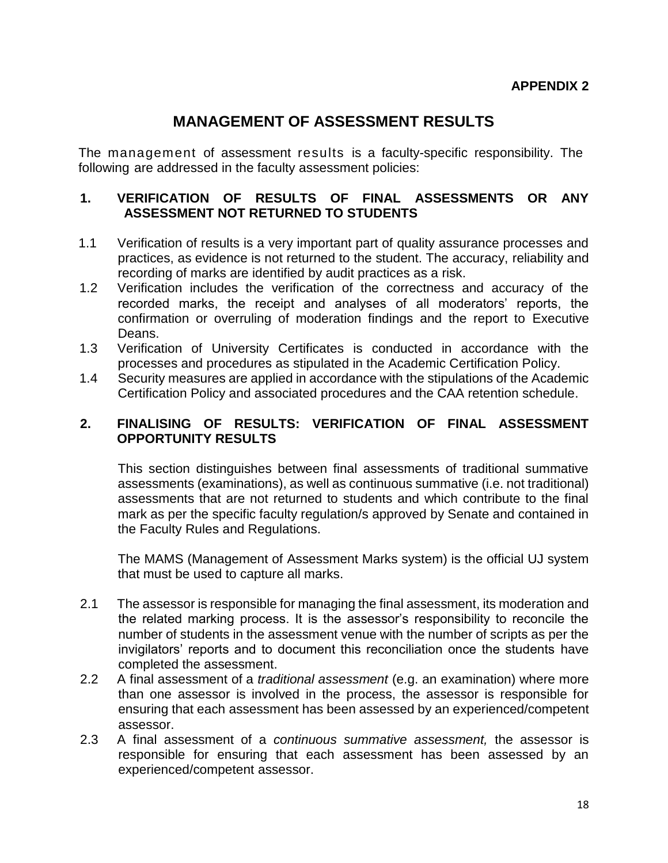# **MANAGEMENT OF ASSESSMENT RESULTS**

The management of assessment results is a faculty-specific responsibility. The following are addressed in the faculty assessment policies:

#### **1. VERIFICATION OF RESULTS OF FINAL ASSESSMENTS OR ANY ASSESSMENT NOT RETURNED TO STUDENTS**

- 1.1 Verification of results is a very important part of quality assurance processes and practices, as evidence is not returned to the student. The accuracy, reliability and recording of marks are identified by audit practices as a risk.
- 1.2 Verification includes the verification of the correctness and accuracy of the recorded marks, the receipt and analyses of all moderators' reports, the confirmation or overruling of moderation findings and the report to Executive Deans.
- 1.3 Verification of University Certificates is conducted in accordance with the processes and procedures as stipulated in the Academic Certification Policy.
- 1.4 Security measures are applied in accordance with the stipulations of the Academic Certification Policy and associated procedures and the CAA retention schedule.

#### **2. FINALISING OF RESULTS: VERIFICATION OF FINAL ASSESSMENT OPPORTUNITY RESULTS**

This section distinguishes between final assessments of traditional summative assessments (examinations), as well as continuous summative (i.e. not traditional) assessments that are not returned to students and which contribute to the final mark as per the specific faculty regulation/s approved by Senate and contained in the Faculty Rules and Regulations.

The MAMS (Management of Assessment Marks system) is the official UJ system that must be used to capture all marks.

- 2.1 The assessor is responsible for managing the final assessment, its moderation and the related marking process. It is the assessor's responsibility to reconcile the number of students in the assessment venue with the number of scripts as per the invigilators' reports and to document this reconciliation once the students have completed the assessment.
- 2.2 A final assessment of a *traditional assessment* (e.g. an examination) where more than one assessor is involved in the process, the assessor is responsible for ensuring that each assessment has been assessed by an experienced/competent assessor.
- 2.3 A final assessment of a *continuous summative assessment,* the assessor is responsible for ensuring that each assessment has been assessed by an experienced/competent assessor.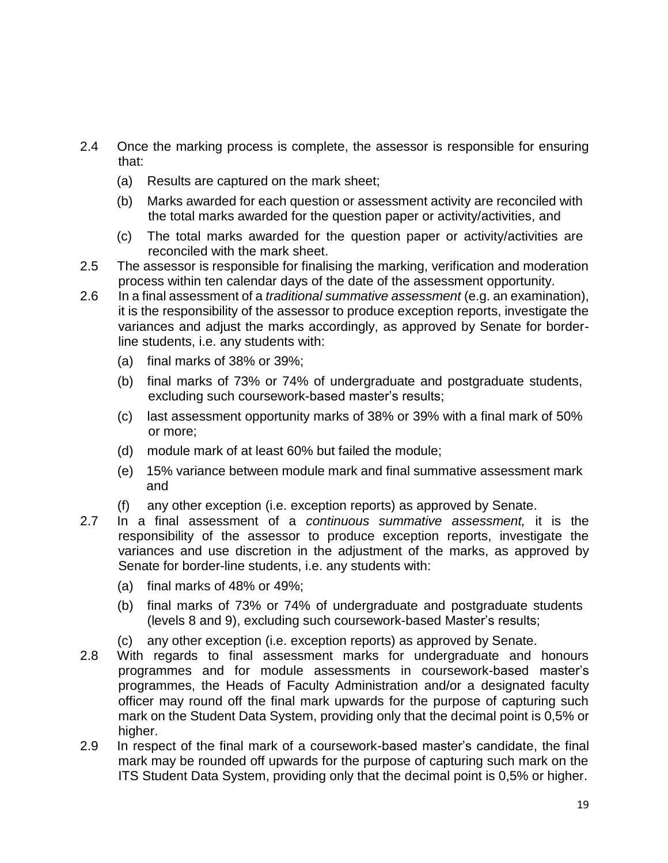- 2.4 Once the marking process is complete, the assessor is responsible for ensuring that:
	- (a) Results are captured on the mark sheet;
	- (b) Marks awarded for each question or assessment activity are reconciled with the total marks awarded for the question paper or activity/activities, and
	- (c) The total marks awarded for the question paper or activity/activities are reconciled with the mark sheet.
- 2.5 The assessor is responsible for finalising the marking, verification and moderation process within ten calendar days of the date of the assessment opportunity.
- 2.6 In a final assessment of a *traditional summative assessment* (e.g. an examination), it is the responsibility of the assessor to produce exception reports, investigate the variances and adjust the marks accordingly, as approved by Senate for borderline students, i.e. any students with:
	- (a) final marks of 38% or 39%;
	- (b) final marks of 73% or 74% of undergraduate and postgraduate students, excluding such coursework-based master's results;
	- (c) last assessment opportunity marks of 38% or 39% with a final mark of 50% or more;
	- (d) module mark of at least 60% but failed the module;
	- (e) 15% variance between module mark and final summative assessment mark and
	- (f) any other exception (i.e. exception reports) as approved by Senate.
- 2.7 In a final assessment of a *continuous summative assessment,* it is the responsibility of the assessor to produce exception reports, investigate the variances and use discretion in the adjustment of the marks, as approved by Senate for border-line students, i.e. any students with:
	- (a) final marks of 48% or 49%;
	- (b) final marks of 73% or 74% of undergraduate and postgraduate students (levels 8 and 9), excluding such coursework-based Master's results;
	- (c) any other exception (i.e. exception reports) as approved by Senate.
- 2.8 With regards to final assessment marks for undergraduate and honours programmes and for module assessments in coursework-based master's programmes, the Heads of Faculty Administration and/or a designated faculty officer may round off the final mark upwards for the purpose of capturing such mark on the Student Data System, providing only that the decimal point is 0,5% or higher.
- 2.9 In respect of the final mark of a coursework-based master's candidate, the final mark may be rounded off upwards for the purpose of capturing such mark on the ITS Student Data System, providing only that the decimal point is 0,5% or higher.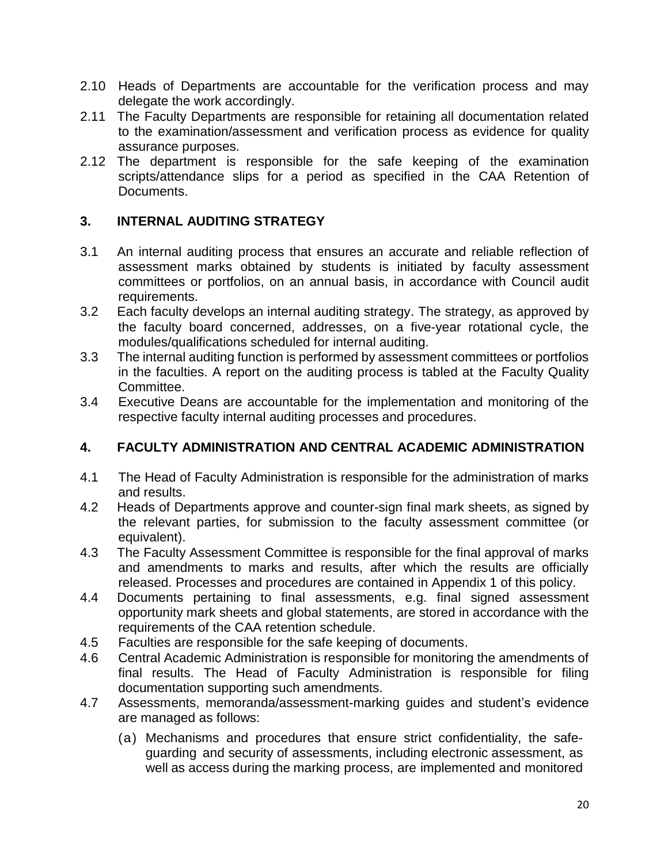- 2.10 Heads of Departments are accountable for the verification process and may delegate the work accordingly.
- 2.11 The Faculty Departments are responsible for retaining all documentation related to the examination/assessment and verification process as evidence for quality assurance purposes.
- 2.12 The department is responsible for the safe keeping of the examination scripts/attendance slips for a period as specified in the CAA Retention of Documents.

# **3. INTERNAL AUDITING STRATEGY**

- 3.1 An internal auditing process that ensures an accurate and reliable reflection of assessment marks obtained by students is initiated by faculty assessment committees or portfolios, on an annual basis, in accordance with Council audit requirements.
- 3.2 Each faculty develops an internal auditing strategy. The strategy, as approved by the faculty board concerned, addresses, on a five-year rotational cycle, the modules/qualifications scheduled for internal auditing.
- 3.3 The internal auditing function is performed by assessment committees or portfolios in the faculties. A report on the auditing process is tabled at the Faculty Quality Committee.
- 3.4 Executive Deans are accountable for the implementation and monitoring of the respective faculty internal auditing processes and procedures.

## **4. FACULTY ADMINISTRATION AND CENTRAL ACADEMIC ADMINISTRATION**

- 4.1 The Head of Faculty Administration is responsible for the administration of marks and results.
- 4.2 Heads of Departments approve and counter-sign final mark sheets, as signed by the relevant parties, for submission to the faculty assessment committee (or equivalent).
- 4.3 The Faculty Assessment Committee is responsible for the final approval of marks and amendments to marks and results, after which the results are officially released. Processes and procedures are contained in Appendix 1 of this policy.
- 4.4 Documents pertaining to final assessments, e.g. final signed assessment opportunity mark sheets and global statements, are stored in accordance with the requirements of the CAA retention schedule.
- 4.5 Faculties are responsible for the safe keeping of documents.
- 4.6 Central Academic Administration is responsible for monitoring the amendments of final results. The Head of Faculty Administration is responsible for filing documentation supporting such amendments.
- 4.7 Assessments, memoranda/assessment-marking guides and student's evidence are managed as follows:
	- (a) Mechanisms and procedures that ensure strict confidentiality, the safeguarding and security of assessments, including electronic assessment, as well as access during the marking process, are implemented and monitored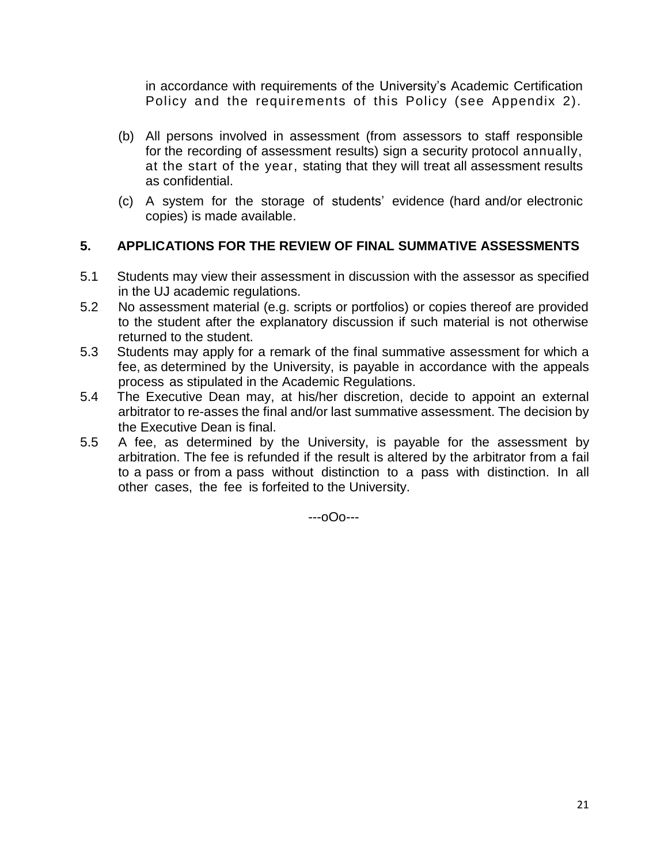in accordance with requirements of the University's Academic Certification Policy and the requirements of this Policy (see Appendix 2).

- (b) All persons involved in assessment (from assessors to staff responsible for the recording of assessment results) sign a security protocol annually, at the start of the year, stating that they will treat all assessment results as confidential.
- (c) A system for the storage of students' evidence (hard and/or electronic copies) is made available.

# **5. APPLICATIONS FOR THE REVIEW OF FINAL SUMMATIVE ASSESSMENTS**

- 5.1 Students may view their assessment in discussion with the assessor as specified in the UJ academic regulations.
- 5.2 No assessment material (e.g. scripts or portfolios) or copies thereof are provided to the student after the explanatory discussion if such material is not otherwise returned to the student.
- 5.3 Students may apply for a remark of the final summative assessment for which a fee, as determined by the University, is payable in accordance with the appeals process as stipulated in the Academic Regulations.
- 5.4 The Executive Dean may, at his/her discretion, decide to appoint an external arbitrator to re-asses the final and/or last summative assessment. The decision by the Executive Dean is final.
- 5.5 A fee, as determined by the University, is payable for the assessment by arbitration. The fee is refunded if the result is altered by the arbitrator from a fail to a pass or from a pass without distinction to a pass with distinction. In all other cases, the fee is forfeited to the University.

---oOo---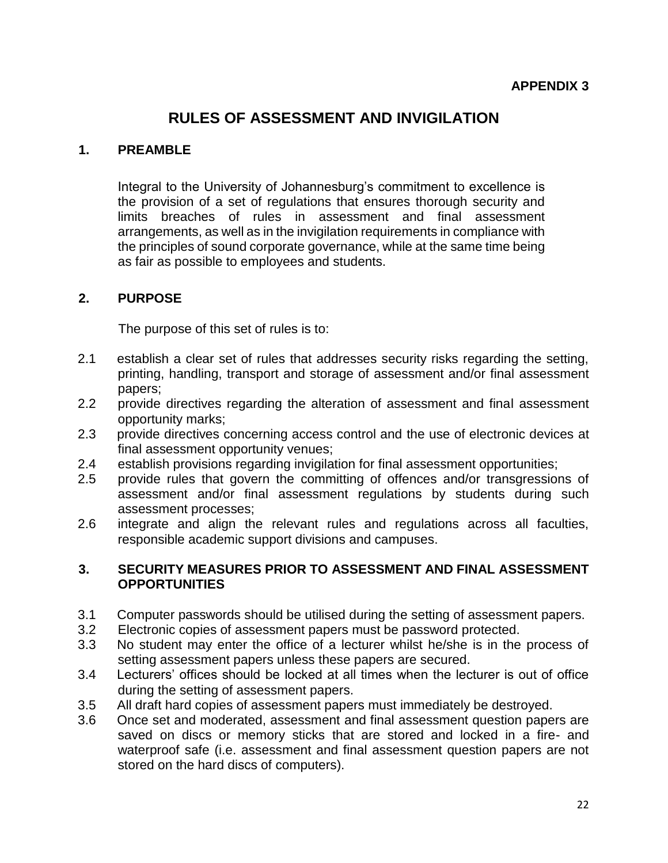# **RULES OF ASSESSMENT AND INVIGILATION**

#### **1. PREAMBLE**

Integral to the University of Johannesburg's commitment to excellence is the provision of a set of regulations that ensures thorough security and limits breaches of rules in assessment and final assessment arrangements, as well as in the invigilation requirements in compliance with the principles of sound corporate governance, while at the same time being as fair as possible to employees and students.

#### **2. PURPOSE**

The purpose of this set of rules is to:

- 2.1 establish a clear set of rules that addresses security risks regarding the setting, printing, handling, transport and storage of assessment and/or final assessment papers;
- 2.2 provide directives regarding the alteration of assessment and final assessment opportunity marks;
- 2.3 provide directives concerning access control and the use of electronic devices at final assessment opportunity venues;
- 2.4 establish provisions regarding invigilation for final assessment opportunities;
- 2.5 provide rules that govern the committing of offences and/or transgressions of assessment and/or final assessment regulations by students during such assessment processes;
- 2.6 integrate and align the relevant rules and regulations across all faculties, responsible academic support divisions and campuses.

#### **3. SECURITY MEASURES PRIOR TO ASSESSMENT AND FINAL ASSESSMENT OPPORTUNITIES**

- 3.1 Computer passwords should be utilised during the setting of assessment papers.
- 3.2 Electronic copies of assessment papers must be password protected.
- 3.3 No student may enter the office of a lecturer whilst he/she is in the process of setting assessment papers unless these papers are secured.
- 3.4 Lecturers' offices should be locked at all times when the lecturer is out of office during the setting of assessment papers.
- 3.5 All draft hard copies of assessment papers must immediately be destroyed.
- 3.6 Once set and moderated, assessment and final assessment question papers are saved on discs or memory sticks that are stored and locked in a fire- and waterproof safe (i.e. assessment and final assessment question papers are not stored on the hard discs of computers).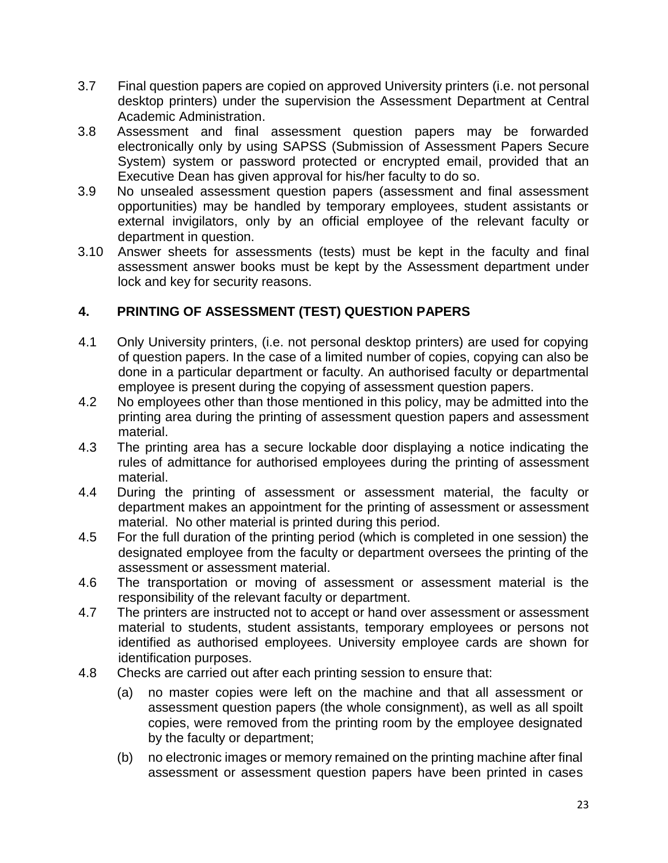- 3.7 Final question papers are copied on approved University printers (i.e. not personal desktop printers) under the supervision the Assessment Department at Central Academic Administration.
- 3.8 Assessment and final assessment question papers may be forwarded electronically only by using SAPSS (Submission of Assessment Papers Secure System) system or password protected or encrypted email, provided that an Executive Dean has given approval for his/her faculty to do so.
- 3.9 No unsealed assessment question papers (assessment and final assessment opportunities) may be handled by temporary employees, student assistants or external invigilators, only by an official employee of the relevant faculty or department in question.
- 3.10 Answer sheets for assessments (tests) must be kept in the faculty and final assessment answer books must be kept by the Assessment department under lock and key for security reasons.

# **4. PRINTING OF ASSESSMENT (TEST) QUESTION PAPERS**

- 4.1 Only University printers, (i.e. not personal desktop printers) are used for copying of question papers. In the case of a limited number of copies, copying can also be done in a particular department or faculty. An authorised faculty or departmental employee is present during the copying of assessment question papers.
- 4.2 No employees other than those mentioned in this policy, may be admitted into the printing area during the printing of assessment question papers and assessment material.
- 4.3 The printing area has a secure lockable door displaying a notice indicating the rules of admittance for authorised employees during the printing of assessment material.
- 4.4 During the printing of assessment or assessment material, the faculty or department makes an appointment for the printing of assessment or assessment material. No other material is printed during this period.
- 4.5 For the full duration of the printing period (which is completed in one session) the designated employee from the faculty or department oversees the printing of the assessment or assessment material.
- 4.6 The transportation or moving of assessment or assessment material is the responsibility of the relevant faculty or department.
- 4.7 The printers are instructed not to accept or hand over assessment or assessment material to students, student assistants, temporary employees or persons not identified as authorised employees. University employee cards are shown for identification purposes.
- 4.8 Checks are carried out after each printing session to ensure that:
	- (a) no master copies were left on the machine and that all assessment or assessment question papers (the whole consignment), as well as all spoilt copies, were removed from the printing room by the employee designated by the faculty or department;
	- (b) no electronic images or memory remained on the printing machine after final assessment or assessment question papers have been printed in cases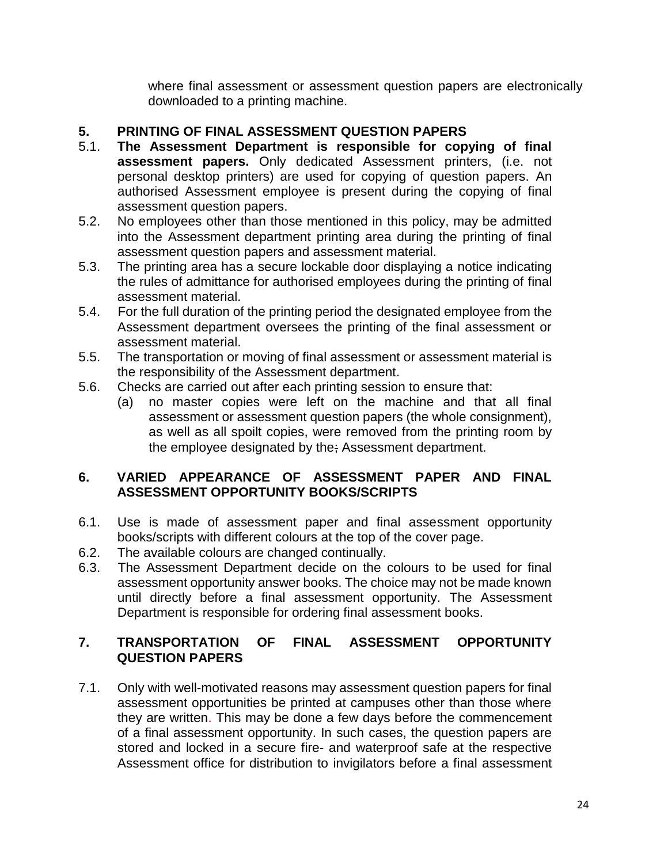where final assessment or assessment question papers are electronically downloaded to a printing machine.

### **5. PRINTING OF FINAL ASSESSMENT QUESTION PAPERS**

- 5.1. **The Assessment Department is responsible for copying of final assessment papers.** Only dedicated Assessment printers, (i.e. not personal desktop printers) are used for copying of question papers. An authorised Assessment employee is present during the copying of final assessment question papers.
- 5.2. No employees other than those mentioned in this policy, may be admitted into the Assessment department printing area during the printing of final assessment question papers and assessment material.
- 5.3. The printing area has a secure lockable door displaying a notice indicating the rules of admittance for authorised employees during the printing of final assessment material.
- 5.4. For the full duration of the printing period the designated employee from the Assessment department oversees the printing of the final assessment or assessment material.
- 5.5. The transportation or moving of final assessment or assessment material is the responsibility of the Assessment department.
- 5.6. Checks are carried out after each printing session to ensure that:
	- (a) no master copies were left on the machine and that all final assessment or assessment question papers (the whole consignment), as well as all spoilt copies, were removed from the printing room by the employee designated by the; Assessment department.

### **6. VARIED APPEARANCE OF ASSESSMENT PAPER AND FINAL ASSESSMENT OPPORTUNITY BOOKS/SCRIPTS**

- 6.1. Use is made of assessment paper and final assessment opportunity books/scripts with different colours at the top of the cover page.
- 6.2. The available colours are changed continually.
- 6.3. The Assessment Department decide on the colours to be used for final assessment opportunity answer books. The choice may not be made known until directly before a final assessment opportunity. The Assessment Department is responsible for ordering final assessment books.

### **7. TRANSPORTATION OF FINAL ASSESSMENT OPPORTUNITY QUESTION PAPERS**

7.1. Only with well-motivated reasons may assessment question papers for final assessment opportunities be printed at campuses other than those where they are written. This may be done a few days before the commencement of a final assessment opportunity. In such cases, the question papers are stored and locked in a secure fire- and waterproof safe at the respective Assessment office for distribution to invigilators before a final assessment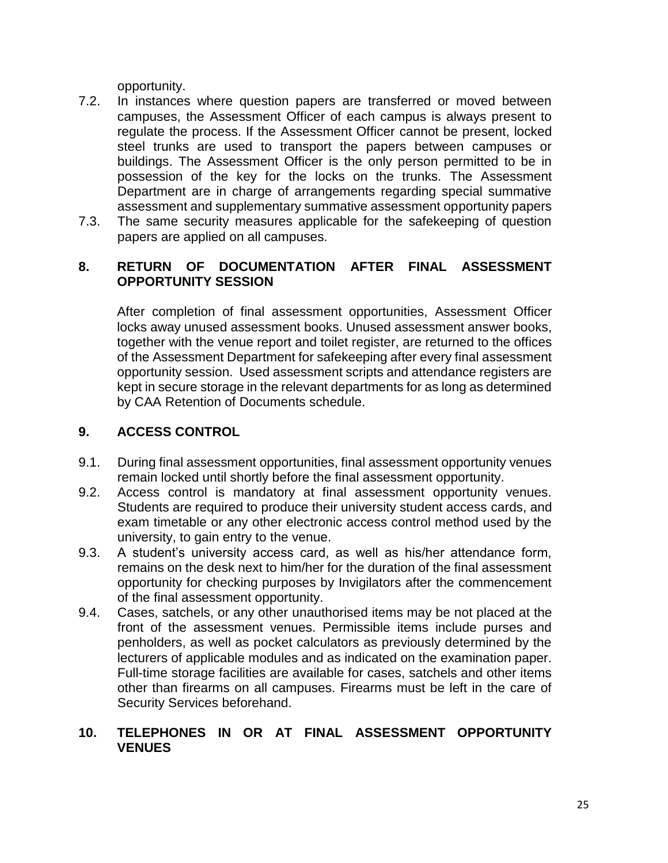opportunity.

- 7.2. In instances where question papers are transferred or moved between campuses, the Assessment Officer of each campus is always present to regulate the process. If the Assessment Officer cannot be present, locked steel trunks are used to transport the papers between campuses or buildings. The Assessment Officer is the only person permitted to be in possession of the key for the locks on the trunks. The Assessment Department are in charge of arrangements regarding special summative assessment and supplementary summative assessment opportunity papers
- 7.3. The same security measures applicable for the safekeeping of question papers are applied on all campuses.

### **8. RETURN OF DOCUMENTATION AFTER FINAL ASSESSMENT OPPORTUNITY SESSION**

After completion of final assessment opportunities, Assessment Officer locks away unused assessment books. Unused assessment answer books, together with the venue report and toilet register, are returned to the offices of the Assessment Department for safekeeping after every final assessment opportunity session. Used assessment scripts and attendance registers are kept in secure storage in the relevant departments for as long as determined by CAA Retention of Documents schedule.

# **9. ACCESS CONTROL**

- 9.1. During final assessment opportunities, final assessment opportunity venues remain locked until shortly before the final assessment opportunity.
- 9.2. Access control is mandatory at final assessment opportunity venues. Students are required to produce their university student access cards, and exam timetable or any other electronic access control method used by the university, to gain entry to the venue.
- 9.3. A student's university access card, as well as his/her attendance form, remains on the desk next to him/her for the duration of the final assessment opportunity for checking purposes by Invigilators after the commencement of the final assessment opportunity.
- 9.4. Cases, satchels, or any other unauthorised items may be not placed at the front of the assessment venues. Permissible items include purses and penholders, as well as pocket calculators as previously determined by the lecturers of applicable modules and as indicated on the examination paper. Full-time storage facilities are available for cases, satchels and other items other than firearms on all campuses. Firearms must be left in the care of Security Services beforehand.

### **10. TELEPHONES IN OR AT FINAL ASSESSMENT OPPORTUNITY VENUES**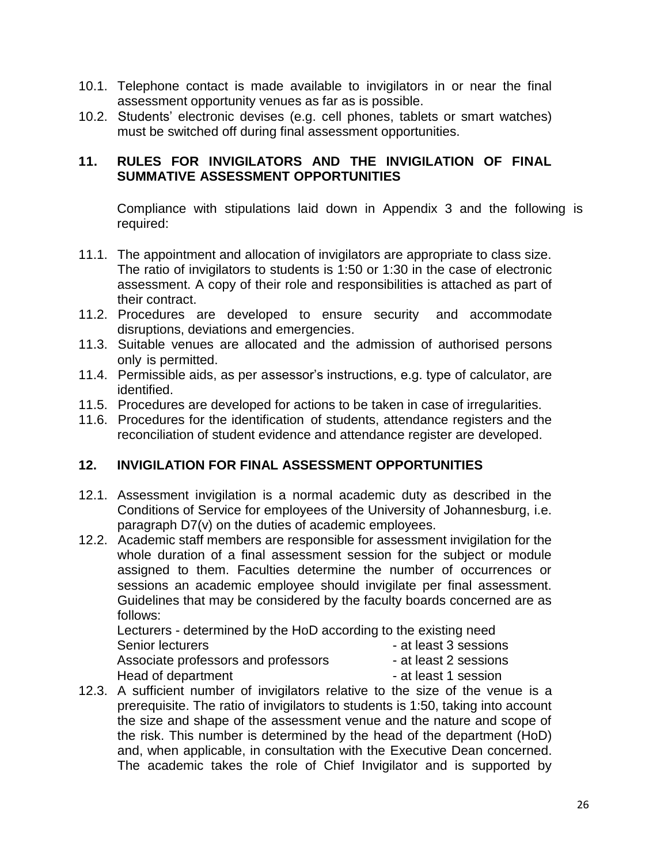- 10.1. Telephone contact is made available to invigilators in or near the final assessment opportunity venues as far as is possible.
- 10.2. Students' electronic devises (e.g. cell phones, tablets or smart watches) must be switched off during final assessment opportunities.

### **11. RULES FOR INVIGILATORS AND THE INVIGILATION OF FINAL SUMMATIVE ASSESSMENT OPPORTUNITIES**

Compliance with stipulations laid down in Appendix 3 and the following is required:

- 11.1. The appointment and allocation of invigilators are appropriate to class size. The ratio of invigilators to students is 1:50 or 1:30 in the case of electronic assessment. A copy of their role and responsibilities is attached as part of their contract.
- 11.2. Procedures are developed to ensure security and accommodate disruptions, deviations and emergencies.
- 11.3. Suitable venues are allocated and the admission of authorised persons only is permitted.
- 11.4. Permissible aids, as per assessor's instructions, e.g. type of calculator, are identified.
- 11.5. Procedures are developed for actions to be taken in case of irregularities.
- 11.6. Procedures for the identification of students, attendance registers and the reconciliation of student evidence and attendance register are developed.

# **12. INVIGILATION FOR FINAL ASSESSMENT OPPORTUNITIES**

- 12.1. Assessment invigilation is a normal academic duty as described in the Conditions of Service for employees of the University of Johannesburg, i.e. paragraph D7(v) on the duties of academic employees.
- 12.2. Academic staff members are responsible for assessment invigilation for the whole duration of a final assessment session for the subject or module assigned to them. Faculties determine the number of occurrences or sessions an academic employee should invigilate per final assessment. Guidelines that may be considered by the faculty boards concerned are as follows:

Lecturers - determined by the HoD according to the existing need Senior lecturers  $\overline{\phantom{a}}$  - at least 3 sessions Associate professors and professors - at least 2 sessions Head of department - at least 1 session

12.3. A sufficient number of invigilators relative to the size of the venue is a prerequisite. The ratio of invigilators to students is 1:50, taking into account the size and shape of the assessment venue and the nature and scope of the risk. This number is determined by the head of the department (HoD) and, when applicable, in consultation with the Executive Dean concerned. The academic takes the role of Chief Invigilator and is supported by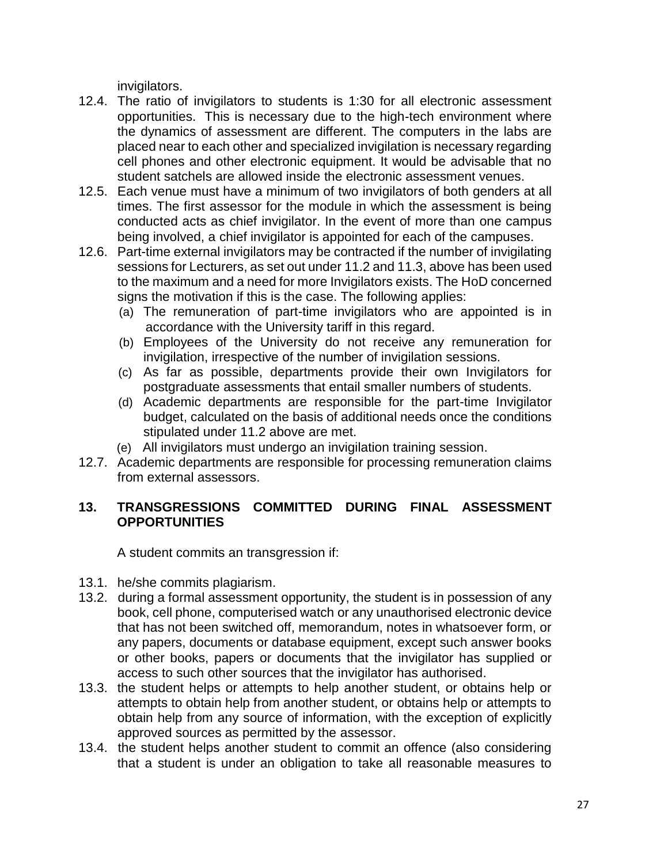invigilators.

- 12.4. The ratio of invigilators to students is 1:30 for all electronic assessment opportunities. This is necessary due to the high-tech environment where the dynamics of assessment are different. The computers in the labs are placed near to each other and specialized invigilation is necessary regarding cell phones and other electronic equipment. It would be advisable that no student satchels are allowed inside the electronic assessment venues.
- 12.5. Each venue must have a minimum of two invigilators of both genders at all times. The first assessor for the module in which the assessment is being conducted acts as chief invigilator. In the event of more than one campus being involved, a chief invigilator is appointed for each of the campuses.
- 12.6. Part-time external invigilators may be contracted if the number of invigilating sessions for Lecturers, as set out under 11.2 and 11.3, above has been used to the maximum and a need for more Invigilators exists. The HoD concerned signs the motivation if this is the case. The following applies:
	- (a) The remuneration of part-time invigilators who are appointed is in accordance with the University tariff in this regard.
	- (b) Employees of the University do not receive any remuneration for invigilation, irrespective of the number of invigilation sessions.
	- (c) As far as possible, departments provide their own Invigilators for postgraduate assessments that entail smaller numbers of students.
	- (d) Academic departments are responsible for the part-time Invigilator budget, calculated on the basis of additional needs once the conditions stipulated under 11.2 above are met.
	- (e) All invigilators must undergo an invigilation training session.
- 12.7. Academic departments are responsible for processing remuneration claims from external assessors.

## **13. TRANSGRESSIONS COMMITTED DURING FINAL ASSESSMENT OPPORTUNITIES**

A student commits an transgression if:

- 13.1. he/she commits plagiarism.
- 13.2. during a formal assessment opportunity, the student is in possession of any book, cell phone, computerised watch or any unauthorised electronic device that has not been switched off, memorandum, notes in whatsoever form, or any papers, documents or database equipment, except such answer books or other books, papers or documents that the invigilator has supplied or access to such other sources that the invigilator has authorised.
- 13.3. the student helps or attempts to help another student, or obtains help or attempts to obtain help from another student, or obtains help or attempts to obtain help from any source of information, with the exception of explicitly approved sources as permitted by the assessor.
- 13.4. the student helps another student to commit an offence (also considering that a student is under an obligation to take all reasonable measures to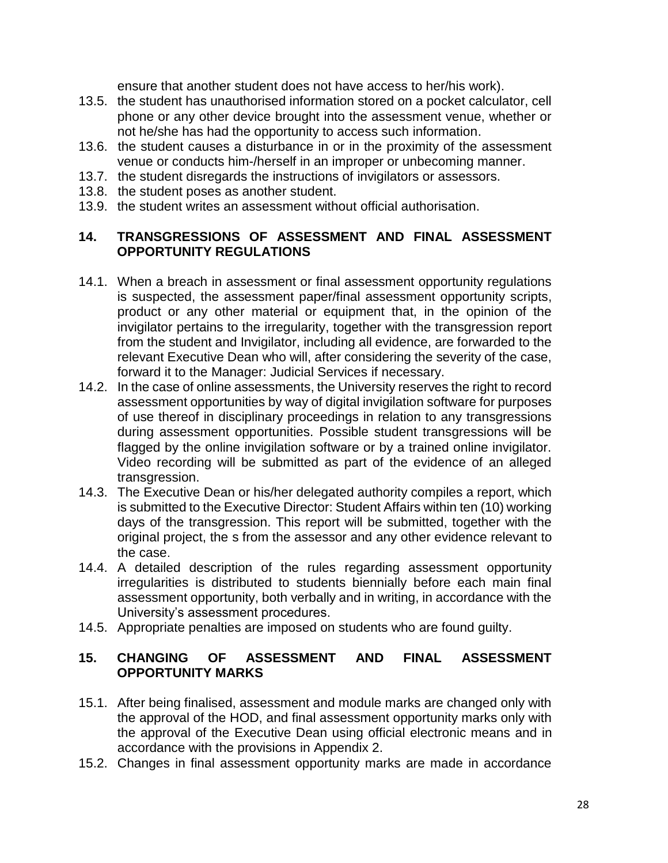ensure that another student does not have access to her/his work).

- 13.5. the student has unauthorised information stored on a pocket calculator, cell phone or any other device brought into the assessment venue, whether or not he/she has had the opportunity to access such information.
- 13.6. the student causes a disturbance in or in the proximity of the assessment venue or conducts him-/herself in an improper or unbecoming manner.
- 13.7. the student disregards the instructions of invigilators or assessors.
- 13.8. the student poses as another student.
- 13.9. the student writes an assessment without official authorisation.

### **14. TRANSGRESSIONS OF ASSESSMENT AND FINAL ASSESSMENT OPPORTUNITY REGULATIONS**

- 14.1. When a breach in assessment or final assessment opportunity regulations is suspected, the assessment paper/final assessment opportunity scripts, product or any other material or equipment that, in the opinion of the invigilator pertains to the irregularity, together with the transgression report from the student and Invigilator, including all evidence, are forwarded to the relevant Executive Dean who will, after considering the severity of the case, forward it to the Manager: Judicial Services if necessary.
- 14.2. In the case of online assessments, the University reserves the right to record assessment opportunities by way of digital invigilation software for purposes of use thereof in disciplinary proceedings in relation to any transgressions during assessment opportunities. Possible student transgressions will be flagged by the online invigilation software or by a trained online invigilator. Video recording will be submitted as part of the evidence of an alleged transgression.
- 14.3. The Executive Dean or his/her delegated authority compiles a report, which is submitted to the Executive Director: Student Affairs within ten (10) working days of the transgression. This report will be submitted, together with the original project, the s from the assessor and any other evidence relevant to the case.
- 14.4. A detailed description of the rules regarding assessment opportunity irregularities is distributed to students biennially before each main final assessment opportunity, both verbally and in writing, in accordance with the University's assessment procedures.
- 14.5. Appropriate penalties are imposed on students who are found guilty.

## **15. CHANGING OF ASSESSMENT AND FINAL ASSESSMENT OPPORTUNITY MARKS**

- 15.1. After being finalised, assessment and module marks are changed only with the approval of the HOD, and final assessment opportunity marks only with the approval of the Executive Dean using official electronic means and in accordance with the provisions in Appendix 2.
- 15.2. Changes in final assessment opportunity marks are made in accordance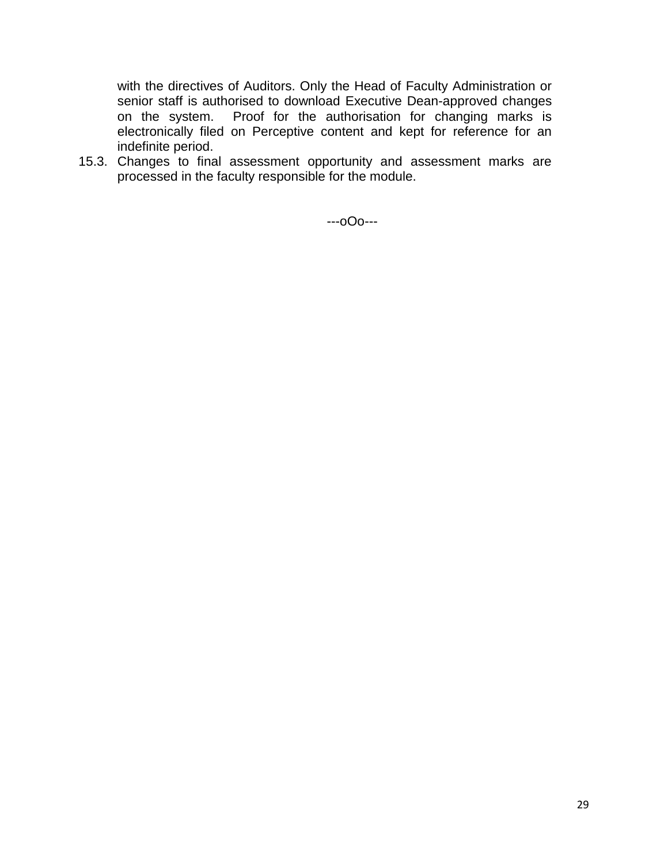with the directives of Auditors. Only the Head of Faculty Administration or senior staff is authorised to download Executive Dean-approved changes on the system. Proof for the authorisation for changing marks is electronically filed on Perceptive content and kept for reference for an indefinite period.

15.3. Changes to final assessment opportunity and assessment marks are processed in the faculty responsible for the module.

---oOo---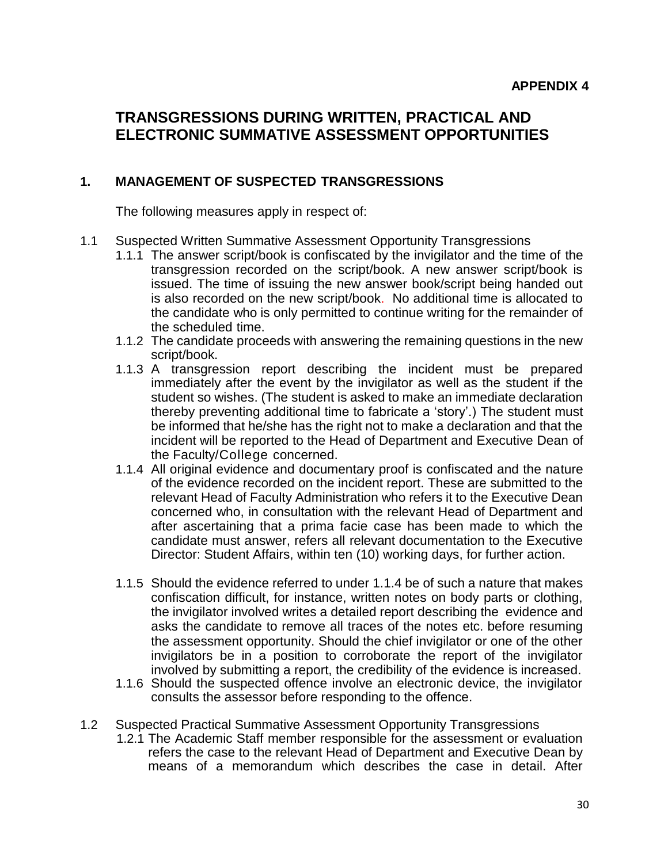# **TRANSGRESSIONS DURING WRITTEN, PRACTICAL AND ELECTRONIC SUMMATIVE ASSESSMENT OPPORTUNITIES**

#### **1. MANAGEMENT OF SUSPECTED TRANSGRESSIONS**

The following measures apply in respect of:

- 1.1 Suspected Written Summative Assessment Opportunity Transgressions
	- 1.1.1 The answer script/book is confiscated by the invigilator and the time of the transgression recorded on the script/book. A new answer script/book is issued. The time of issuing the new answer book/script being handed out is also recorded on the new script/book. No additional time is allocated to the candidate who is only permitted to continue writing for the remainder of the scheduled time.
	- 1.1.2 The candidate proceeds with answering the remaining questions in the new script/book.
	- 1.1.3 A transgression report describing the incident must be prepared immediately after the event by the invigilator as well as the student if the student so wishes. (The student is asked to make an immediate declaration thereby preventing additional time to fabricate a 'story'.) The student must be informed that he/she has the right not to make a declaration and that the incident will be reported to the Head of Department and Executive Dean of the Faculty/College concerned.
	- 1.1.4 All original evidence and documentary proof is confiscated and the nature of the evidence recorded on the incident report. These are submitted to the relevant Head of Faculty Administration who refers it to the Executive Dean concerned who, in consultation with the relevant Head of Department and after ascertaining that a prima facie case has been made to which the candidate must answer, refers all relevant documentation to the Executive Director: Student Affairs, within ten (10) working days, for further action.
	- 1.1.5 Should the evidence referred to under 1.1.4 be of such a nature that makes confiscation difficult, for instance, written notes on body parts or clothing, the invigilator involved writes a detailed report describing the evidence and asks the candidate to remove all traces of the notes etc. before resuming the assessment opportunity. Should the chief invigilator or one of the other invigilators be in a position to corroborate the report of the invigilator involved by submitting a report, the credibility of the evidence is increased.
	- 1.1.6 Should the suspected offence involve an electronic device, the invigilator consults the assessor before responding to the offence.
- 1.2 Suspected Practical Summative Assessment Opportunity Transgressions
	- 1.2.1 The Academic Staff member responsible for the assessment or evaluation refers the case to the relevant Head of Department and Executive Dean by means of a memorandum which describes the case in detail. After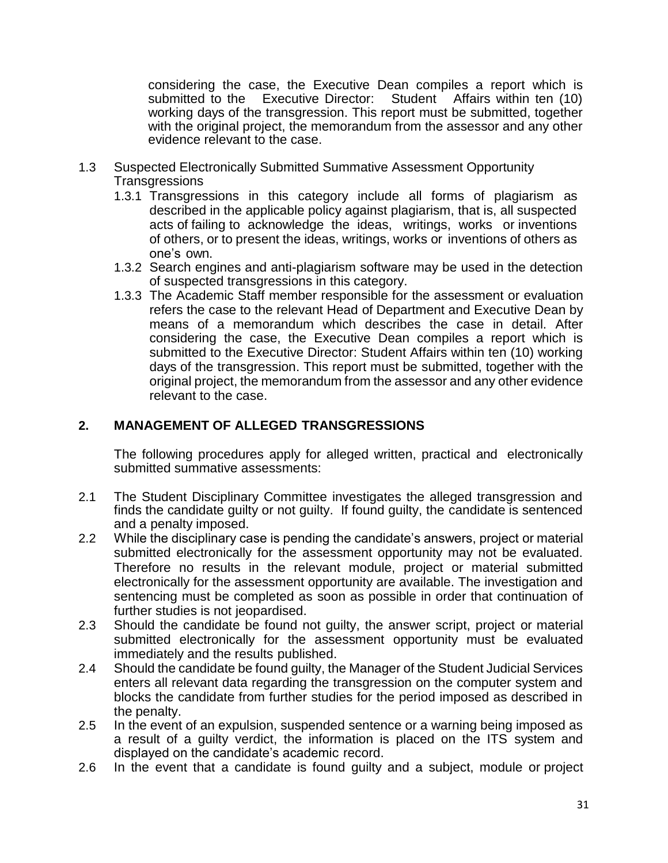considering the case, the Executive Dean compiles a report which is submitted to the Executive Director: Student Affairs within ten (10) working days of the transgression. This report must be submitted, together with the original project, the memorandum from the assessor and any other evidence relevant to the case.

- 1.3 Suspected Electronically Submitted Summative Assessment Opportunity **Transgressions** 
	- 1.3.1 Transgressions in this category include all forms of plagiarism as described in the applicable policy against plagiarism, that is, all suspected acts of failing to acknowledge the ideas, writings, works or inventions of others, or to present the ideas, writings, works or inventions of others as one's own.
	- 1.3.2 Search engines and anti-plagiarism software may be used in the detection of suspected transgressions in this category.
	- 1.3.3 The Academic Staff member responsible for the assessment or evaluation refers the case to the relevant Head of Department and Executive Dean by means of a memorandum which describes the case in detail. After considering the case, the Executive Dean compiles a report which is submitted to the Executive Director: Student Affairs within ten (10) working days of the transgression. This report must be submitted, together with the original project, the memorandum from the assessor and any other evidence relevant to the case.

### **2. MANAGEMENT OF ALLEGED TRANSGRESSIONS**

The following procedures apply for alleged written, practical and electronically submitted summative assessments:

- 2.1 The Student Disciplinary Committee investigates the alleged transgression and finds the candidate guilty or not guilty. If found guilty, the candidate is sentenced and a penalty imposed.
- 2.2 While the disciplinary case is pending the candidate's answers, project or material submitted electronically for the assessment opportunity may not be evaluated. Therefore no results in the relevant module, project or material submitted electronically for the assessment opportunity are available. The investigation and sentencing must be completed as soon as possible in order that continuation of further studies is not jeopardised.
- 2.3 Should the candidate be found not guilty, the answer script, project or material submitted electronically for the assessment opportunity must be evaluated immediately and the results published.
- 2.4 Should the candidate be found guilty, the Manager of the Student Judicial Services enters all relevant data regarding the transgression on the computer system and blocks the candidate from further studies for the period imposed as described in the penalty.
- 2.5 In the event of an expulsion, suspended sentence or a warning being imposed as a result of a guilty verdict, the information is placed on the ITS system and displayed on the candidate's academic record.
- 2.6 In the event that a candidate is found guilty and a subject, module or project